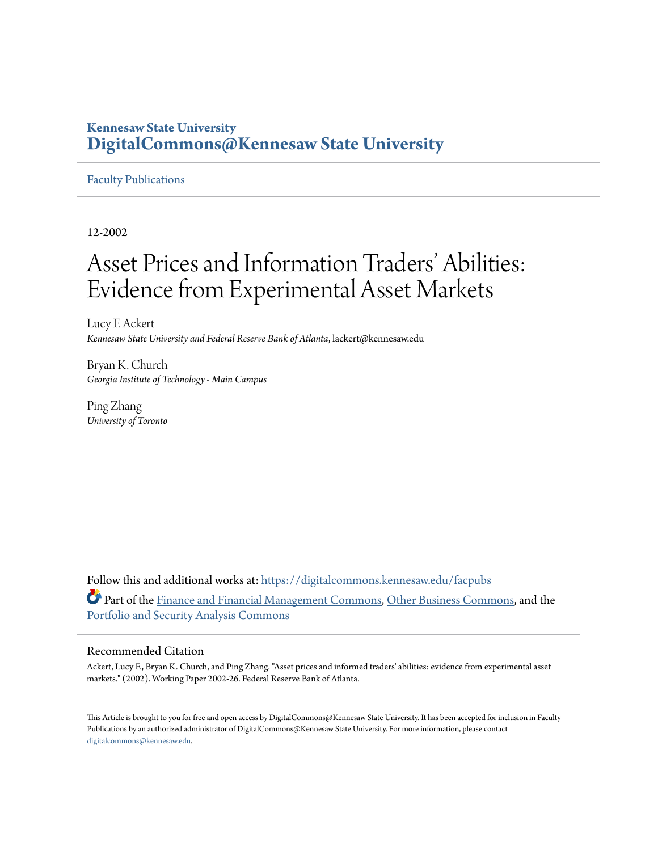## **Kennesaw State University [DigitalCommons@Kennesaw State University](https://digitalcommons.kennesaw.edu?utm_source=digitalcommons.kennesaw.edu%2Ffacpubs%2F910&utm_medium=PDF&utm_campaign=PDFCoverPages)**

#### [Faculty Publications](https://digitalcommons.kennesaw.edu/facpubs?utm_source=digitalcommons.kennesaw.edu%2Ffacpubs%2F910&utm_medium=PDF&utm_campaign=PDFCoverPages)

12-2002

# Asset Prices and Information Traders' Abilities: Evidence from Experimental Asset Markets

Lucy F. Ackert *Kennesaw State University and Federal Reserve Bank of Atlanta*, lackert@kennesaw.edu

Bryan K. Church *Georgia Institute of Technology - Main Campus*

Ping Zhang *University of Toronto*

Follow this and additional works at: [https://digitalcommons.kennesaw.edu/facpubs](https://digitalcommons.kennesaw.edu/facpubs?utm_source=digitalcommons.kennesaw.edu%2Ffacpubs%2F910&utm_medium=PDF&utm_campaign=PDFCoverPages) Part of the [Finance and Financial Management Commons](http://network.bepress.com/hgg/discipline/631?utm_source=digitalcommons.kennesaw.edu%2Ffacpubs%2F910&utm_medium=PDF&utm_campaign=PDFCoverPages), [Other Business Commons,](http://network.bepress.com/hgg/discipline/647?utm_source=digitalcommons.kennesaw.edu%2Ffacpubs%2F910&utm_medium=PDF&utm_campaign=PDFCoverPages) and the [Portfolio and Security Analysis Commons](http://network.bepress.com/hgg/discipline/640?utm_source=digitalcommons.kennesaw.edu%2Ffacpubs%2F910&utm_medium=PDF&utm_campaign=PDFCoverPages)

#### Recommended Citation

Ackert, Lucy F., Bryan K. Church, and Ping Zhang. "Asset prices and informed traders' abilities: evidence from experimental asset markets." (2002). Working Paper 2002-26. Federal Reserve Bank of Atlanta.

This Article is brought to you for free and open access by DigitalCommons@Kennesaw State University. It has been accepted for inclusion in Faculty Publications by an authorized administrator of DigitalCommons@Kennesaw State University. For more information, please contact [digitalcommons@kennesaw.edu.](mailto:digitalcommons@kennesaw.edu)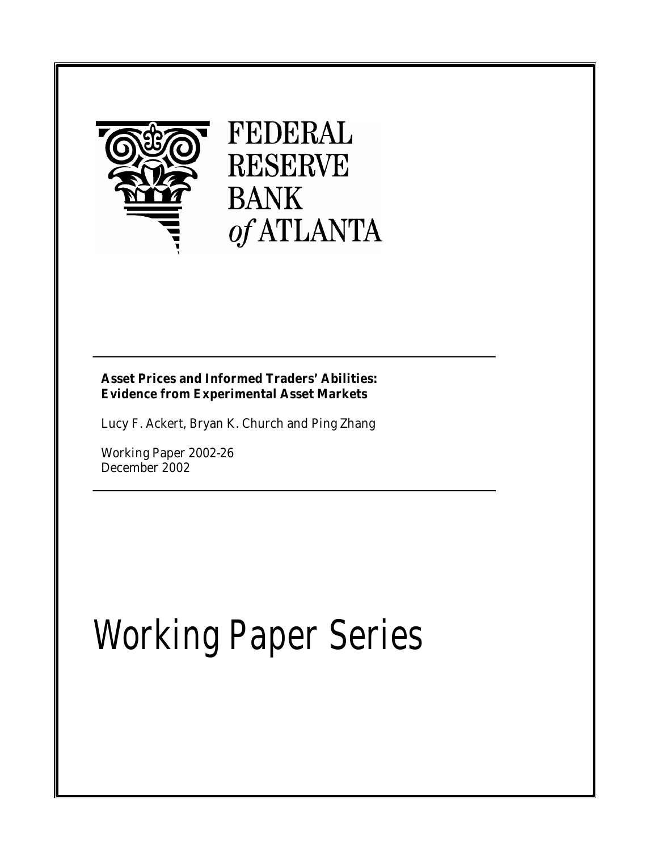

# FEDERAL **RESERVE BANK** of ATLANTA

#### **Asset Prices and Informed Traders' Abilities: Evidence from Experimental Asset Markets**

Lucy F. Ackert, Bryan K. Church and Ping Zhang

Working Paper 2002-26 December 2002

# Working Paper Series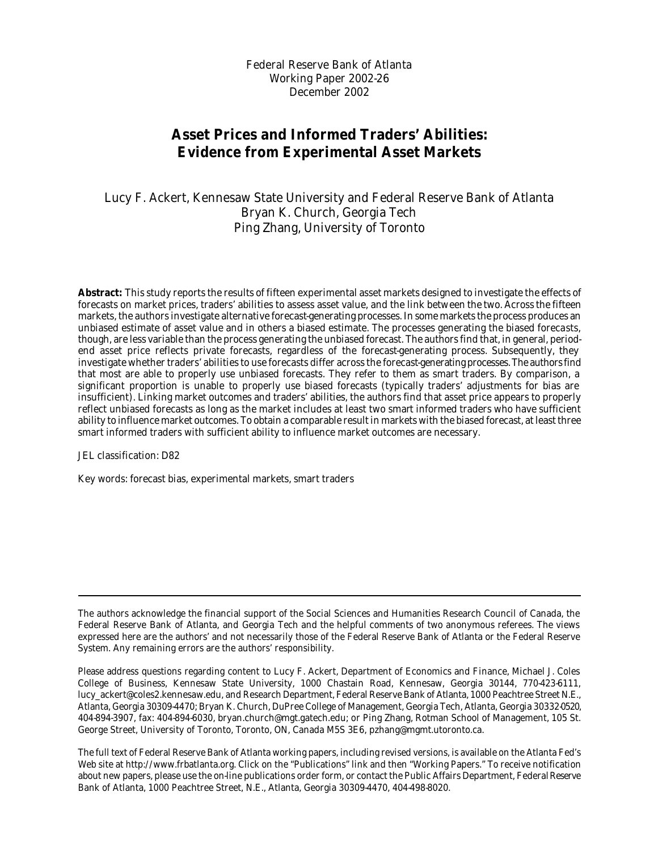Federal Reserve Bank of Atlanta Working Paper 2002-26 December 2002

## **Asset Prices and Informed Traders' Abilities: Evidence from Experimental Asset Markets**

Lucy F. Ackert, Kennesaw State University and Federal Reserve Bank of Atlanta Bryan K. Church, Georgia Tech Ping Zhang, University of Toronto

**Abstract:** This study reports the results of fifteen experimental asset markets designed to investigate the effects of forecasts on market prices, traders' abilities to assess asset value, and the link between the two. Across the fifteen markets, the authors investigate alternative forecast-generating processes. In some markets the process produces an unbiased estimate of asset value and in others a biased estimate. The processes generating the biased forecasts, though, are less variable than the process generating the unbiased forecast. The authors find that, in general, periodend asset price reflects private forecasts, regardless of the forecast-generating process. Subsequently, they investigate whether traders' abilities to use forecasts differ across the forecast-generating processes. The authors find that most are able to properly use unbiased forecasts. They refer to them as smart traders. By comparison, a significant proportion is unable to properly use biased forecasts (typically traders' adjustments for bias are insufficient). Linking market outcomes and traders' abilities, the authors find that asset price appears to properly reflect unbiased forecasts as long as the market includes at least two smart informed traders who have sufficient ability to influence market outcomes. To obtain a comparable result in markets with the biased forecast, at least three smart informed traders with sufficient ability to influence market outcomes are necessary.

JEL classification: D82

Key words: forecast bias, experimental markets, smart traders

The authors acknowledge the financial support of the Social Sciences and Humanities Research Council of Canada, the Federal Reserve Bank of Atlanta, and Georgia Tech and the helpful comments of two anonymous referees. The views expressed here are the authors' and not necessarily those of the Federal Reserve Bank of Atlanta or the Federal Reserve System. Any remaining errors are the authors' responsibility.

Please address questions regarding content to Lucy F. Ackert, Department of Economics and Finance, Michael J. Coles College of Business, Kennesaw State University, 1000 Chastain Road, Kennesaw, Georgia 30144, 770-423-6111, lucy ackert@coles2.kennesaw.edu, and Research Department, Federal Reserve Bank of Atlanta, 1000 Peachtree Street N.E., Atlanta, Georgia 30309-4470; Bryan K. Church, DuPree College of Management, Georgia Tech, Atlanta, Georgia 30332-0520, 404-894-3907, fax: 404-894-6030, bryan.church@mgt.gatech.edu; or Ping Zhang, Rotman School of Management, 105 St. George Street, University of Toronto, Toronto, ON, Canada M5S 3E6, pzhang@mgmt.utoronto.ca.

The full text of Federal Reserve Bank of Atlanta working papers, including revised versions, is available on the Atlanta Fed's Web site at http://www.frbatlanta.org. Click on the "Publications" link and then "Working Papers." To receive notification about new papers, please use the on-line publications order form, or contact the Public Affairs Department, Federal Reserve Bank of Atlanta, 1000 Peachtree Street, N.E., Atlanta, Georgia 30309-4470, 404-498-8020.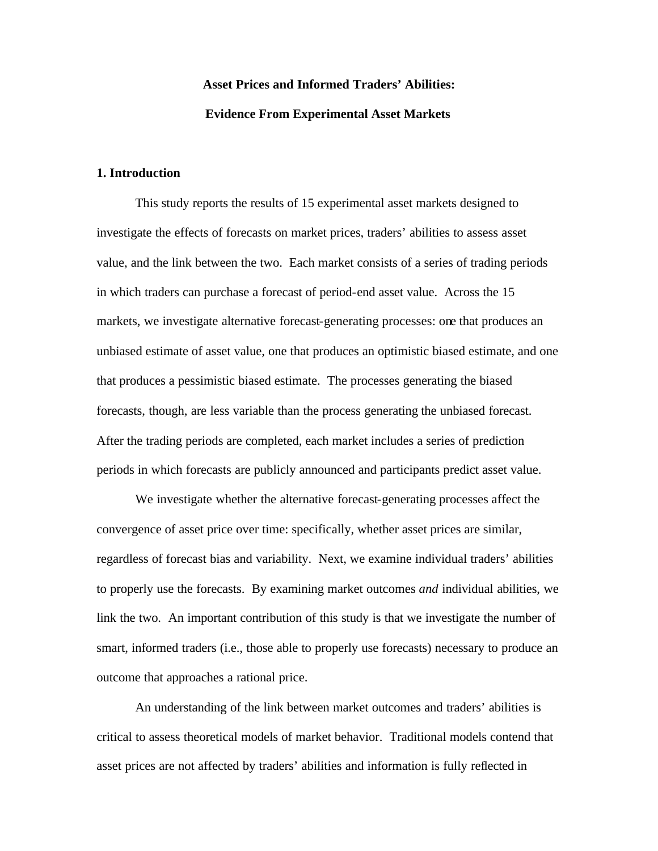# **Asset Prices and Informed Traders' Abilities: Evidence From Experimental Asset Markets**

#### **1. Introduction**

This study reports the results of 15 experimental asset markets designed to investigate the effects of forecasts on market prices, traders' abilities to assess asset value, and the link between the two. Each market consists of a series of trading periods in which traders can purchase a forecast of period-end asset value. Across the 15 markets, we investigate alternative forecast-generating processes: one that produces an unbiased estimate of asset value, one that produces an optimistic biased estimate, and one that produces a pessimistic biased estimate. The processes generating the biased forecasts, though, are less variable than the process generating the unbiased forecast. After the trading periods are completed, each market includes a series of prediction periods in which forecasts are publicly announced and participants predict asset value.

We investigate whether the alternative forecast-generating processes affect the convergence of asset price over time: specifically, whether asset prices are similar, regardless of forecast bias and variability. Next, we examine individual traders' abilities to properly use the forecasts. By examining market outcomes *and* individual abilities, we link the two. An important contribution of this study is that we investigate the number of smart, informed traders (i.e., those able to properly use forecasts) necessary to produce an outcome that approaches a rational price.

An understanding of the link between market outcomes and traders' abilities is critical to assess theoretical models of market behavior. Traditional models contend that asset prices are not affected by traders' abilities and information is fully reflected in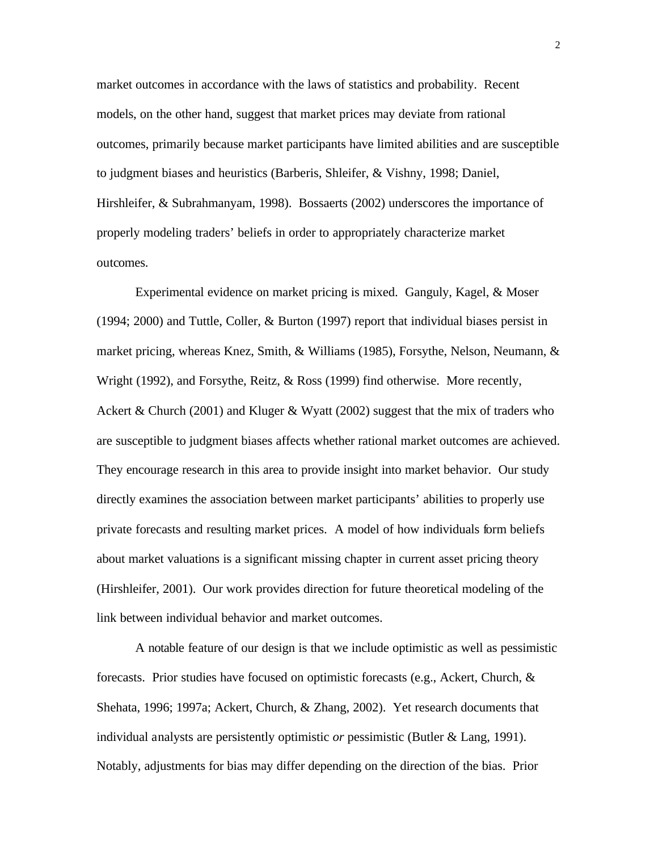market outcomes in accordance with the laws of statistics and probability. Recent models, on the other hand, suggest that market prices may deviate from rational outcomes, primarily because market participants have limited abilities and are susceptible to judgment biases and heuristics (Barberis, Shleifer, & Vishny, 1998; Daniel, Hirshleifer, & Subrahmanyam, 1998). Bossaerts (2002) underscores the importance of properly modeling traders' beliefs in order to appropriately characterize market outcomes.

Experimental evidence on market pricing is mixed. Ganguly, Kagel, & Moser (1994; 2000) and Tuttle, Coller, & Burton (1997) report that individual biases persist in market pricing, whereas Knez, Smith, & Williams (1985), Forsythe, Nelson, Neumann, & Wright (1992), and Forsythe, Reitz, & Ross (1999) find otherwise. More recently, Ackert & Church (2001) and Kluger & Wyatt (2002) suggest that the mix of traders who are susceptible to judgment biases affects whether rational market outcomes are achieved. They encourage research in this area to provide insight into market behavior. Our study directly examines the association between market participants' abilities to properly use private forecasts and resulting market prices. A model of how individuals form beliefs about market valuations is a significant missing chapter in current asset pricing theory (Hirshleifer, 2001). Our work provides direction for future theoretical modeling of the link between individual behavior and market outcomes.

A notable feature of our design is that we include optimistic as well as pessimistic forecasts. Prior studies have focused on optimistic forecasts (e.g., Ackert, Church, & Shehata, 1996; 1997a; Ackert, Church, & Zhang, 2002). Yet research documents that individual analysts are persistently optimistic *or* pessimistic (Butler & Lang, 1991). Notably, adjustments for bias may differ depending on the direction of the bias. Prior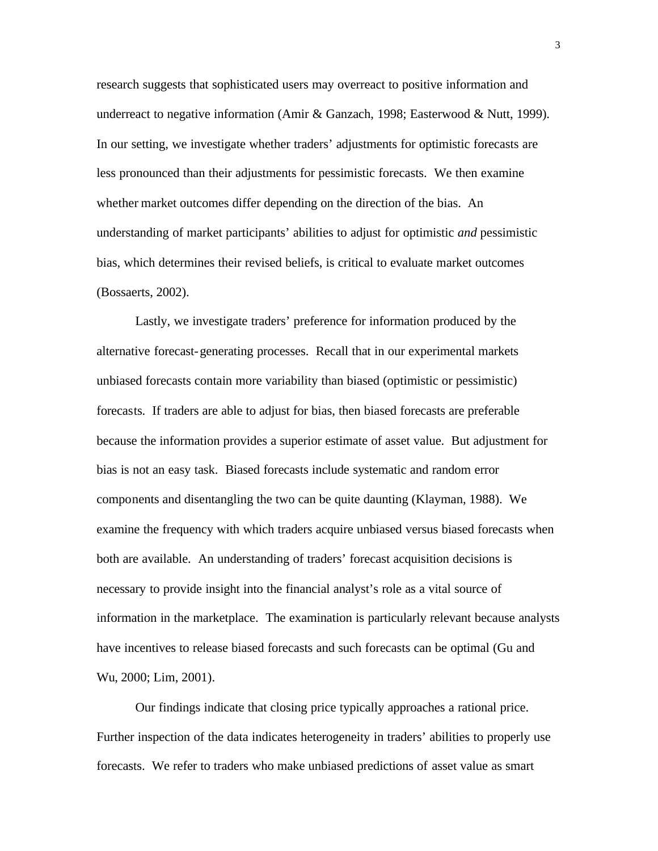research suggests that sophisticated users may overreact to positive information and underreact to negative information (Amir & Ganzach, 1998; Easterwood & Nutt, 1999). In our setting, we investigate whether traders' adjustments for optimistic forecasts are less pronounced than their adjustments for pessimistic forecasts. We then examine whether market outcomes differ depending on the direction of the bias. An understanding of market participants' abilities to adjust for optimistic *and* pessimistic bias, which determines their revised beliefs, is critical to evaluate market outcomes (Bossaerts, 2002).

Lastly, we investigate traders' preference for information produced by the alternative forecast-generating processes. Recall that in our experimental markets unbiased forecasts contain more variability than biased (optimistic or pessimistic) forecasts. If traders are able to adjust for bias, then biased forecasts are preferable because the information provides a superior estimate of asset value. But adjustment for bias is not an easy task. Biased forecasts include systematic and random error components and disentangling the two can be quite daunting (Klayman, 1988). We examine the frequency with which traders acquire unbiased versus biased forecasts when both are available. An understanding of traders' forecast acquisition decisions is necessary to provide insight into the financial analyst's role as a vital source of information in the marketplace. The examination is particularly relevant because analysts have incentives to release biased forecasts and such forecasts can be optimal (Gu and Wu, 2000; Lim, 2001).

Our findings indicate that closing price typically approaches a rational price. Further inspection of the data indicates heterogeneity in traders' abilities to properly use forecasts. We refer to traders who make unbiased predictions of asset value as smart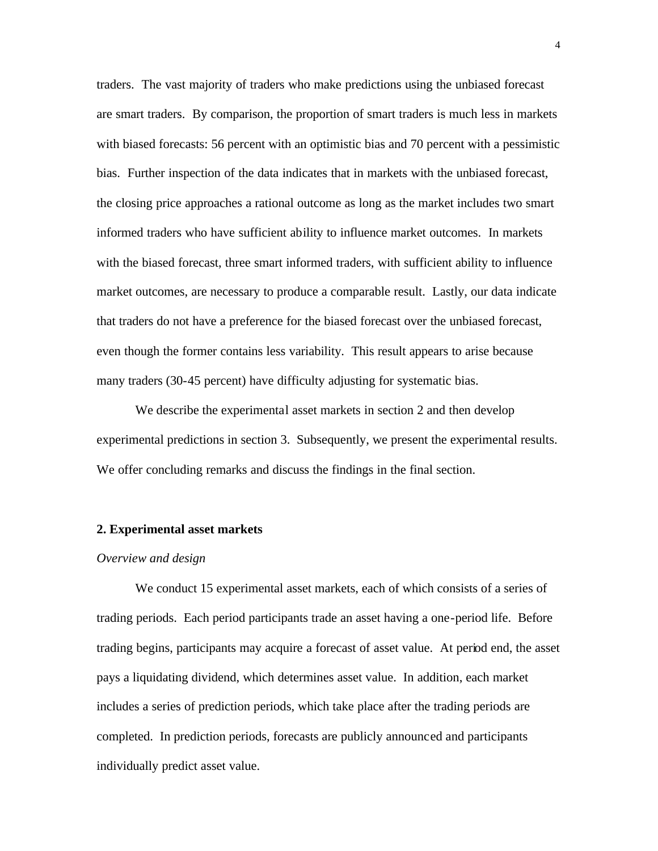traders. The vast majority of traders who make predictions using the unbiased forecast are smart traders. By comparison, the proportion of smart traders is much less in markets with biased forecasts: 56 percent with an optimistic bias and 70 percent with a pessimistic bias. Further inspection of the data indicates that in markets with the unbiased forecast, the closing price approaches a rational outcome as long as the market includes two smart informed traders who have sufficient ability to influence market outcomes. In markets with the biased forecast, three smart informed traders, with sufficient ability to influence market outcomes, are necessary to produce a comparable result. Lastly, our data indicate that traders do not have a preference for the biased forecast over the unbiased forecast, even though the former contains less variability. This result appears to arise because many traders (30-45 percent) have difficulty adjusting for systematic bias.

We describe the experimental asset markets in section 2 and then develop experimental predictions in section 3. Subsequently, we present the experimental results. We offer concluding remarks and discuss the findings in the final section.

#### **2. Experimental asset markets**

#### *Overview and design*

We conduct 15 experimental asset markets, each of which consists of a series of trading periods. Each period participants trade an asset having a one-period life. Before trading begins, participants may acquire a forecast of asset value. At period end, the asset pays a liquidating dividend, which determines asset value. In addition, each market includes a series of prediction periods, which take place after the trading periods are completed. In prediction periods, forecasts are publicly announced and participants individually predict asset value.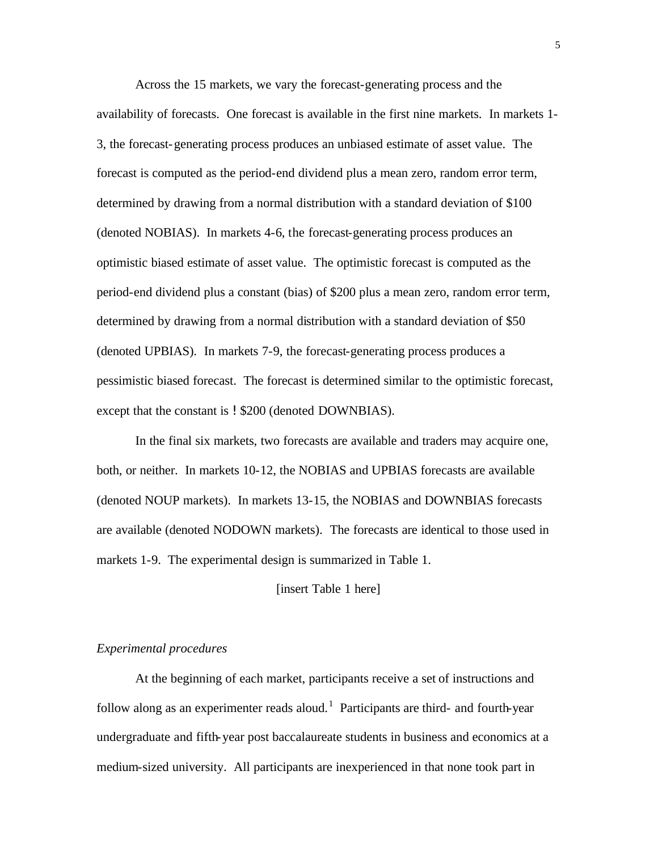Across the 15 markets, we vary the forecast-generating process and the availability of forecasts. One forecast is available in the first nine markets. In markets 1- 3, the forecast-generating process produces an unbiased estimate of asset value. The forecast is computed as the period-end dividend plus a mean zero, random error term, determined by drawing from a normal distribution with a standard deviation of \$100 (denoted NOBIAS). In markets 4-6, the forecast-generating process produces an optimistic biased estimate of asset value. The optimistic forecast is computed as the period-end dividend plus a constant (bias) of \$200 plus a mean zero, random error term, determined by drawing from a normal distribution with a standard deviation of \$50 (denoted UPBIAS). In markets 7-9, the forecast-generating process produces a pessimistic biased forecast. The forecast is determined similar to the optimistic forecast, except that the constant is ! \$200 (denoted DOWNBIAS).

In the final six markets, two forecasts are available and traders may acquire one, both, or neither. In markets 10-12, the NOBIAS and UPBIAS forecasts are available (denoted NOUP markets). In markets 13-15, the NOBIAS and DOWNBIAS forecasts are available (denoted NODOWN markets). The forecasts are identical to those used in markets 1-9. The experimental design is summarized in Table 1.

[insert Table 1 here]

#### *Experimental procedures*

At the beginning of each market, participants receive a set of instructions and follow along as an experimenter reads aloud.<sup>1</sup> Participants are third- and fourth-year undergraduate and fifth-year post baccalaureate students in business and economics at a medium-sized university. All participants are inexperienced in that none took part in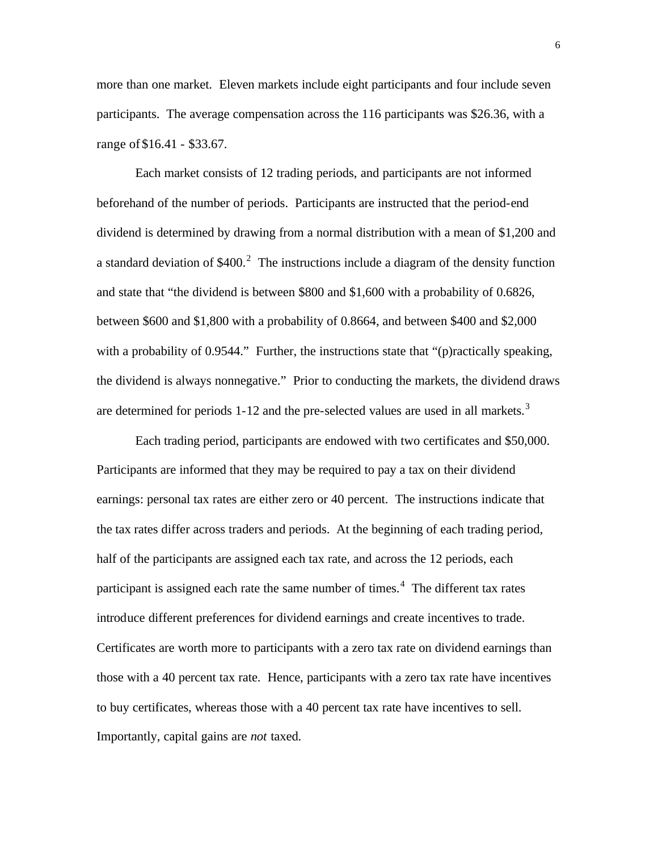more than one market. Eleven markets include eight participants and four include seven participants. The average compensation across the 116 participants was \$26.36, with a range of \$16.41 - \$33.67.

Each market consists of 12 trading periods, and participants are not informed beforehand of the number of periods. Participants are instructed that the period-end dividend is determined by drawing from a normal distribution with a mean of \$1,200 and a standard deviation of  $$400.<sup>2</sup>$  The instructions include a diagram of the density function and state that "the dividend is between \$800 and \$1,600 with a probability of 0.6826, between \$600 and \$1,800 with a probability of 0.8664, and between \$400 and \$2,000 with a probability of 0.9544." Further, the instructions state that "(p) ractically speaking, the dividend is always nonnegative." Prior to conducting the markets, the dividend draws are determined for periods 1-12 and the pre-selected values are used in all markets.<sup>3</sup>

Each trading period, participants are endowed with two certificates and \$50,000. Participants are informed that they may be required to pay a tax on their dividend earnings: personal tax rates are either zero or 40 percent. The instructions indicate that the tax rates differ across traders and periods. At the beginning of each trading period, half of the participants are assigned each tax rate, and across the 12 periods, each participant is assigned each rate the same number of times.<sup>4</sup> The different tax rates introduce different preferences for dividend earnings and create incentives to trade. Certificates are worth more to participants with a zero tax rate on dividend earnings than those with a 40 percent tax rate. Hence, participants with a zero tax rate have incentives to buy certificates, whereas those with a 40 percent tax rate have incentives to sell. Importantly, capital gains are *not* taxed.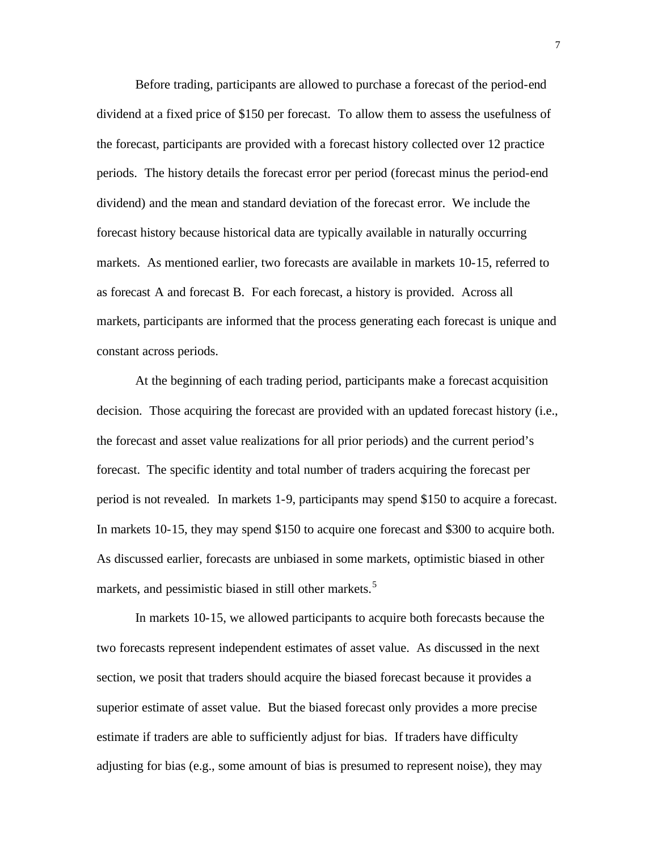Before trading, participants are allowed to purchase a forecast of the period-end dividend at a fixed price of \$150 per forecast. To allow them to assess the usefulness of the forecast, participants are provided with a forecast history collected over 12 practice periods. The history details the forecast error per period (forecast minus the period-end dividend) and the mean and standard deviation of the forecast error. We include the forecast history because historical data are typically available in naturally occurring markets. As mentioned earlier, two forecasts are available in markets 10-15, referred to as forecast A and forecast B. For each forecast, a history is provided. Across all markets, participants are informed that the process generating each forecast is unique and constant across periods.

At the beginning of each trading period, participants make a forecast acquisition decision. Those acquiring the forecast are provided with an updated forecast history (i.e., the forecast and asset value realizations for all prior periods) and the current period's forecast. The specific identity and total number of traders acquiring the forecast per period is not revealed. In markets 1-9, participants may spend \$150 to acquire a forecast. In markets 10-15, they may spend \$150 to acquire one forecast and \$300 to acquire both. As discussed earlier, forecasts are unbiased in some markets, optimistic biased in other markets, and pessimistic biased in still other markets.<sup>5</sup>

In markets 10-15, we allowed participants to acquire both forecasts because the two forecasts represent independent estimates of asset value. As discussed in the next section, we posit that traders should acquire the biased forecast because it provides a superior estimate of asset value. But the biased forecast only provides a more precise estimate if traders are able to sufficiently adjust for bias. If traders have difficulty adjusting for bias (e.g., some amount of bias is presumed to represent noise), they may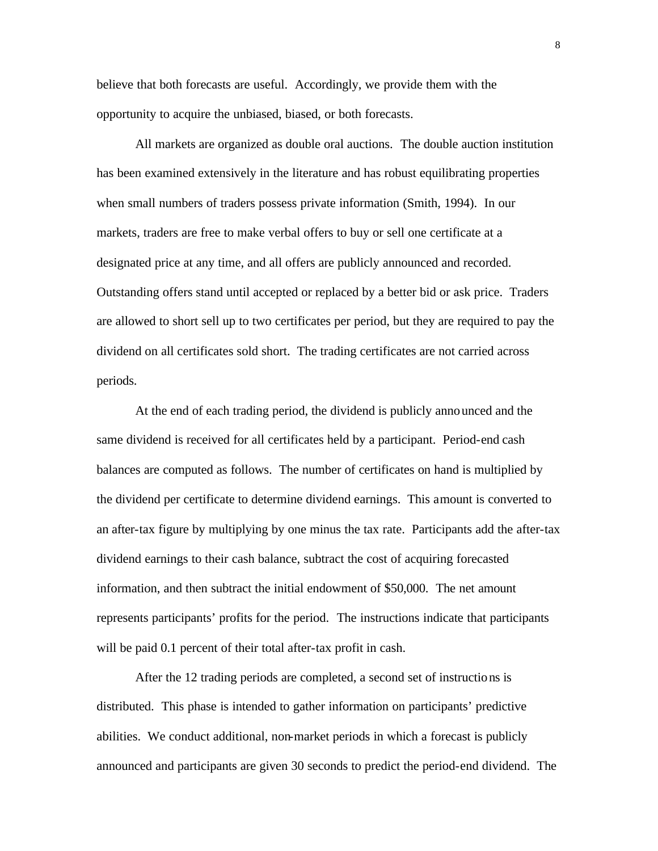believe that both forecasts are useful. Accordingly, we provide them with the opportunity to acquire the unbiased, biased, or both forecasts.

All markets are organized as double oral auctions. The double auction institution has been examined extensively in the literature and has robust equilibrating properties when small numbers of traders possess private information (Smith, 1994). In our markets, traders are free to make verbal offers to buy or sell one certificate at a designated price at any time, and all offers are publicly announced and recorded. Outstanding offers stand until accepted or replaced by a better bid or ask price. Traders are allowed to short sell up to two certificates per period, but they are required to pay the dividend on all certificates sold short. The trading certificates are not carried across periods.

At the end of each trading period, the dividend is publicly announced and the same dividend is received for all certificates held by a participant. Period-end cash balances are computed as follows. The number of certificates on hand is multiplied by the dividend per certificate to determine dividend earnings. This amount is converted to an after-tax figure by multiplying by one minus the tax rate. Participants add the after-tax dividend earnings to their cash balance, subtract the cost of acquiring forecasted information, and then subtract the initial endowment of \$50,000. The net amount represents participants' profits for the period. The instructions indicate that participants will be paid 0.1 percent of their total after-tax profit in cash.

After the 12 trading periods are completed, a second set of instructions is distributed. This phase is intended to gather information on participants' predictive abilities. We conduct additional, non-market periods in which a forecast is publicly announced and participants are given 30 seconds to predict the period-end dividend. The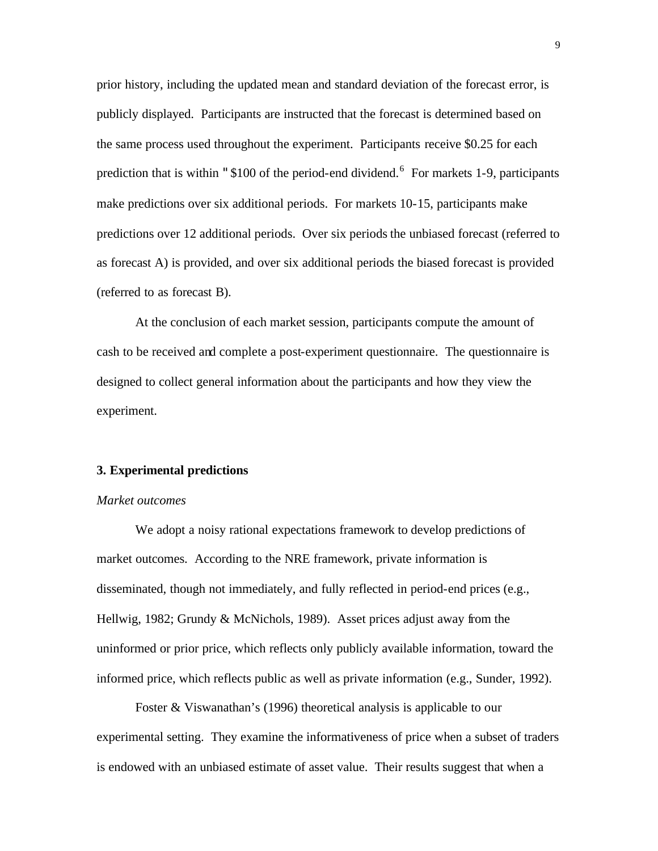prior history, including the updated mean and standard deviation of the forecast error, is publicly displayed. Participants are instructed that the forecast is determined based on the same process used throughout the experiment. Participants receive \$0.25 for each prediction that is within " $$100$  of the period-end dividend.<sup>6</sup> For markets 1-9, participants make predictions over six additional periods. For markets 10-15, participants make predictions over 12 additional periods. Over six periods the unbiased forecast (referred to as forecast A) is provided, and over six additional periods the biased forecast is provided (referred to as forecast B).

At the conclusion of each market session, participants compute the amount of cash to be received and complete a post-experiment questionnaire. The questionnaire is designed to collect general information about the participants and how they view the experiment.

#### **3. Experimental predictions**

#### *Market outcomes*

We adopt a noisy rational expectations framework to develop predictions of market outcomes. According to the NRE framework, private information is disseminated, though not immediately, and fully reflected in period-end prices (e.g., Hellwig, 1982; Grundy & McNichols, 1989). Asset prices adjust away from the uninformed or prior price, which reflects only publicly available information, toward the informed price, which reflects public as well as private information (e.g., Sunder, 1992).

Foster & Viswanathan's (1996) theoretical analysis is applicable to our experimental setting. They examine the informativeness of price when a subset of traders is endowed with an unbiased estimate of asset value. Their results suggest that when a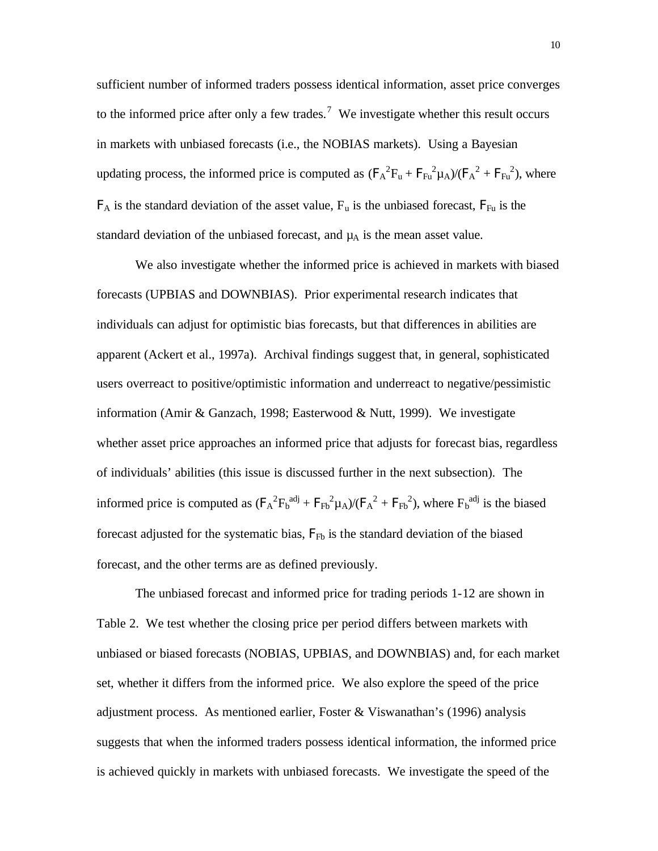sufficient number of informed traders possess identical information, asset price converges to the informed price after only a few trades.<sup>7</sup> We investigate whether this result occurs in markets with unbiased forecasts (i.e., the NOBIAS markets). Using a Bayesian updating process, the informed price is computed as  $(F_A^2F_u + F_{Fu}^2\mu_A)/ (F_A^2 + F_{Fu}^2)$ , where  $F_A$  is the standard deviation of the asset value,  $F_u$  is the unbiased forecast,  $F_{Fu}$  is the standard deviation of the unbiased forecast, and  $\mu_A$  is the mean asset value.

We also investigate whether the informed price is achieved in markets with biased forecasts (UPBIAS and DOWNBIAS). Prior experimental research indicates that individuals can adjust for optimistic bias forecasts, but that differences in abilities are apparent (Ackert et al., 1997a). Archival findings suggest that, in general, sophisticated users overreact to positive/optimistic information and underreact to negative/pessimistic information (Amir & Ganzach, 1998; Easterwood & Nutt, 1999). We investigate whether asset price approaches an informed price that adjusts for forecast bias, regardless of individuals' abilities (this issue is discussed further in the next subsection). The informed price is computed as  $(F_A^2 F_b^{adj} + F_{Fb}^2 \mu_A)/ (F_A^2 + F_{Fb}^2)$ , where  $F_b^{adj}$  is the biased forecast adjusted for the systematic bias,  $F_{Fb}$  is the standard deviation of the biased forecast, and the other terms are as defined previously.

The unbiased forecast and informed price for trading periods 1-12 are shown in Table 2. We test whether the closing price per period differs between markets with unbiased or biased forecasts (NOBIAS, UPBIAS, and DOWNBIAS) and, for each market set, whether it differs from the informed price. We also explore the speed of the price adjustment process. As mentioned earlier, Foster & Viswanathan's (1996) analysis suggests that when the informed traders possess identical information, the informed price is achieved quickly in markets with unbiased forecasts. We investigate the speed of the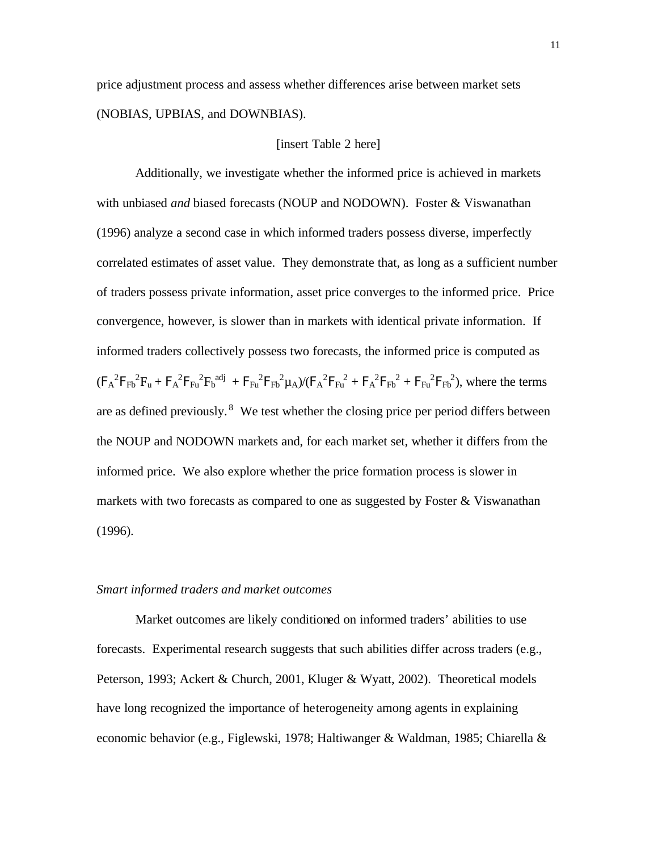price adjustment process and assess whether differences arise between market sets (NOBIAS, UPBIAS, and DOWNBIAS).

#### [insert Table 2 here]

Additionally, we investigate whether the informed price is achieved in markets with unbiased *and* biased forecasts (NOUP and NODOWN). Foster & Viswanathan (1996) analyze a second case in which informed traders possess diverse, imperfectly correlated estimates of asset value. They demonstrate that, as long as a sufficient number of traders possess private information, asset price converges to the informed price. Price convergence, however, is slower than in markets with identical private information. If informed traders collectively possess two forecasts, the informed price is computed as  $(F_A{}^2F_{Fb}{}^2F_{u}+F_A{}^2F_{Fu}{}^2F_{b}^{adj}+F_{Fu}{}^2F_{Fb}{}^2\mu_A)/(F_A{}^2F_{Fu}{}^2+F_A{}^2F_{Fb}{}^2+F_{fu}{}^2F_{Fb}{}^2)$ , where the terms are as defined previously. <sup>8</sup> We test whether the closing price per period differs between the NOUP and NODOWN markets and, for each market set, whether it differs from the informed price. We also explore whether the price formation process is slower in markets with two forecasts as compared to one as suggested by Foster & Viswanathan (1996).

#### *Smart informed traders and market outcomes*

Market outcomes are likely conditioned on informed traders' abilities to use forecasts. Experimental research suggests that such abilities differ across traders (e.g., Peterson, 1993; Ackert & Church, 2001, Kluger & Wyatt, 2002). Theoretical models have long recognized the importance of heterogeneity among agents in explaining economic behavior (e.g., Figlewski, 1978; Haltiwanger & Waldman, 1985; Chiarella &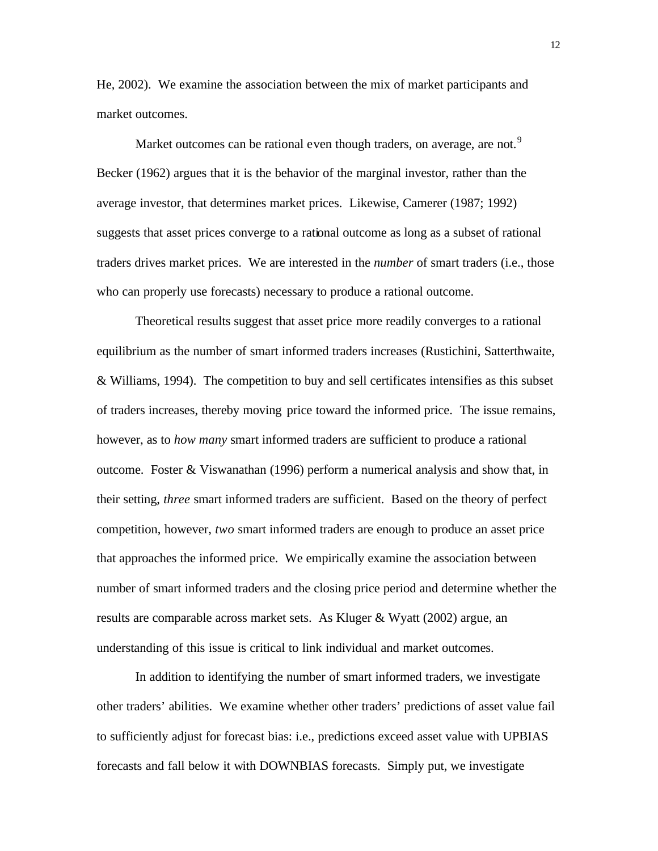He, 2002). We examine the association between the mix of market participants and market outcomes.

Market outcomes can be rational even though traders, on average, are not.<sup>9</sup> Becker (1962) argues that it is the behavior of the marginal investor, rather than the average investor, that determines market prices. Likewise, Camerer (1987; 1992) suggests that asset prices converge to a rational outcome as long as a subset of rational traders drives market prices. We are interested in the *number* of smart traders (i.e., those who can properly use forecasts) necessary to produce a rational outcome.

Theoretical results suggest that asset price more readily converges to a rational equilibrium as the number of smart informed traders increases (Rustichini, Satterthwaite, & Williams, 1994). The competition to buy and sell certificates intensifies as this subset of traders increases, thereby moving price toward the informed price. The issue remains, however, as to *how many* smart informed traders are sufficient to produce a rational outcome. Foster & Viswanathan (1996) perform a numerical analysis and show that, in their setting, *three* smart informed traders are sufficient. Based on the theory of perfect competition, however, *two* smart informed traders are enough to produce an asset price that approaches the informed price. We empirically examine the association between number of smart informed traders and the closing price period and determine whether the results are comparable across market sets. As Kluger & Wyatt (2002) argue, an understanding of this issue is critical to link individual and market outcomes.

In addition to identifying the number of smart informed traders, we investigate other traders' abilities. We examine whether other traders' predictions of asset value fail to sufficiently adjust for forecast bias: i.e., predictions exceed asset value with UPBIAS forecasts and fall below it with DOWNBIAS forecasts. Simply put, we investigate

12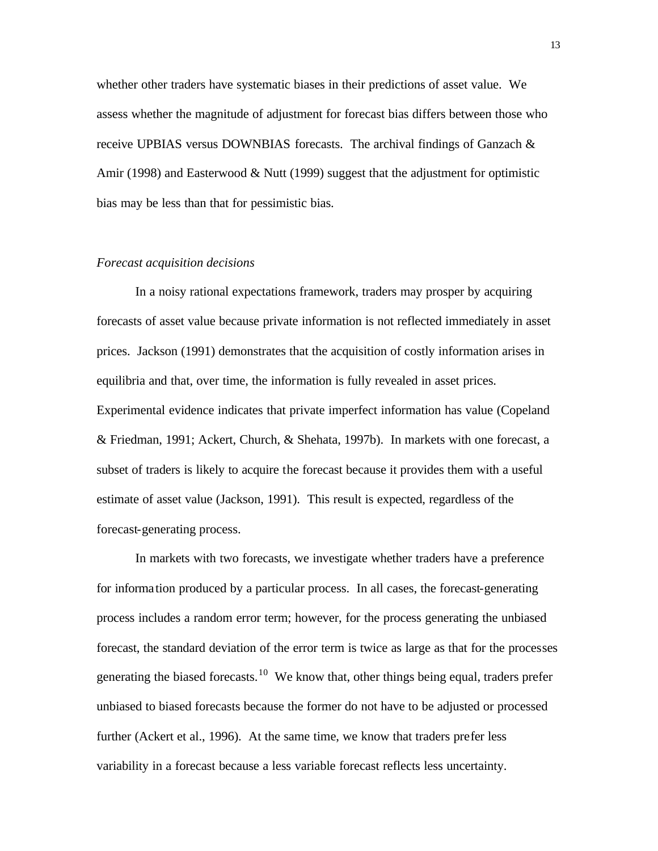whether other traders have systematic biases in their predictions of asset value. We assess whether the magnitude of adjustment for forecast bias differs between those who receive UPBIAS versus DOWNBIAS forecasts. The archival findings of Ganzach & Amir (1998) and Easterwood & Nutt (1999) suggest that the adjustment for optimistic bias may be less than that for pessimistic bias.

#### *Forecast acquisition decisions*

In a noisy rational expectations framework, traders may prosper by acquiring forecasts of asset value because private information is not reflected immediately in asset prices. Jackson (1991) demonstrates that the acquisition of costly information arises in equilibria and that, over time, the information is fully revealed in asset prices. Experimental evidence indicates that private imperfect information has value (Copeland & Friedman, 1991; Ackert, Church, & Shehata, 1997b). In markets with one forecast, a subset of traders is likely to acquire the forecast because it provides them with a useful estimate of asset value (Jackson, 1991). This result is expected, regardless of the forecast-generating process.

In markets with two forecasts, we investigate whether traders have a preference for information produced by a particular process. In all cases, the forecast-generating process includes a random error term; however, for the process generating the unbiased forecast, the standard deviation of the error term is twice as large as that for the processes generating the biased forecasts.<sup>10</sup> We know that, other things being equal, traders prefer unbiased to biased forecasts because the former do not have to be adjusted or processed further (Ackert et al., 1996). At the same time, we know that traders prefer less variability in a forecast because a less variable forecast reflects less uncertainty.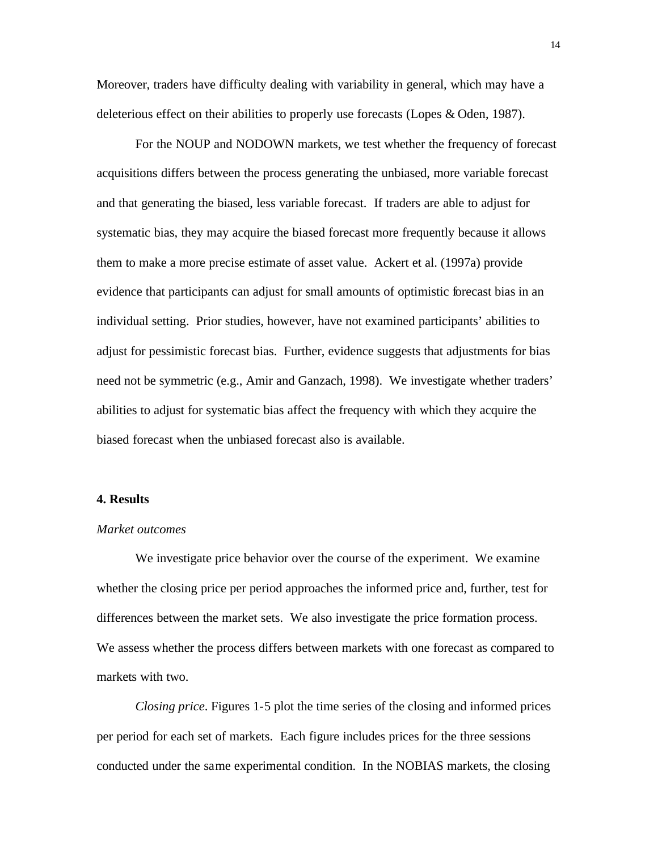Moreover, traders have difficulty dealing with variability in general, which may have a deleterious effect on their abilities to properly use forecasts (Lopes & Oden, 1987).

For the NOUP and NODOWN markets, we test whether the frequency of forecast acquisitions differs between the process generating the unbiased, more variable forecast and that generating the biased, less variable forecast. If traders are able to adjust for systematic bias, they may acquire the biased forecast more frequently because it allows them to make a more precise estimate of asset value. Ackert et al. (1997a) provide evidence that participants can adjust for small amounts of optimistic forecast bias in an individual setting. Prior studies, however, have not examined participants' abilities to adjust for pessimistic forecast bias. Further, evidence suggests that adjustments for bias need not be symmetric (e.g., Amir and Ganzach, 1998). We investigate whether traders' abilities to adjust for systematic bias affect the frequency with which they acquire the biased forecast when the unbiased forecast also is available.

#### **4. Results**

#### *Market outcomes*

We investigate price behavior over the course of the experiment. We examine whether the closing price per period approaches the informed price and, further, test for differences between the market sets. We also investigate the price formation process. We assess whether the process differs between markets with one forecast as compared to markets with two.

*Closing price*. Figures 1-5 plot the time series of the closing and informed prices per period for each set of markets. Each figure includes prices for the three sessions conducted under the same experimental condition. In the NOBIAS markets, the closing

14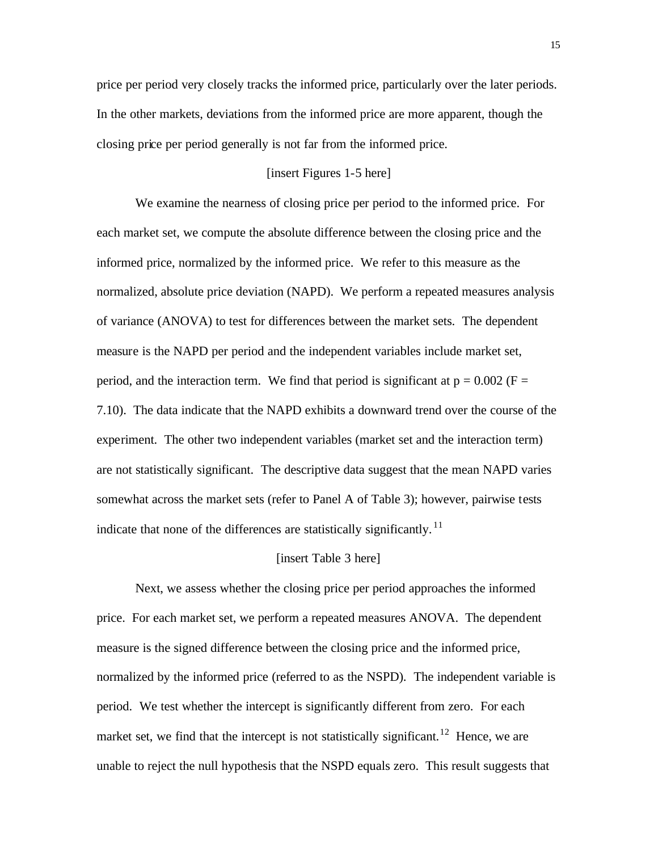price per period very closely tracks the informed price, particularly over the later periods. In the other markets, deviations from the informed price are more apparent, though the closing price per period generally is not far from the informed price.

#### [insert Figures 1-5 here]

We examine the nearness of closing price per period to the informed price. For each market set, we compute the absolute difference between the closing price and the informed price, normalized by the informed price. We refer to this measure as the normalized, absolute price deviation (NAPD). We perform a repeated measures analysis of variance (ANOVA) to test for differences between the market sets. The dependent measure is the NAPD per period and the independent variables include market set, period, and the interaction term. We find that period is significant at  $p = 0.002$  (F = 7.10). The data indicate that the NAPD exhibits a downward trend over the course of the experiment. The other two independent variables (market set and the interaction term) are not statistically significant. The descriptive data suggest that the mean NAPD varies somewhat across the market sets (refer to Panel A of Table 3); however, pairwise tests indicate that none of the differences are statistically significantly.<sup>11</sup>

#### [insert Table 3 here]

Next, we assess whether the closing price per period approaches the informed price. For each market set, we perform a repeated measures ANOVA. The dependent measure is the signed difference between the closing price and the informed price, normalized by the informed price (referred to as the NSPD). The independent variable is period. We test whether the intercept is significantly different from zero. For each market set, we find that the intercept is not statistically significant.<sup>12</sup> Hence, we are unable to reject the null hypothesis that the NSPD equals zero. This result suggests that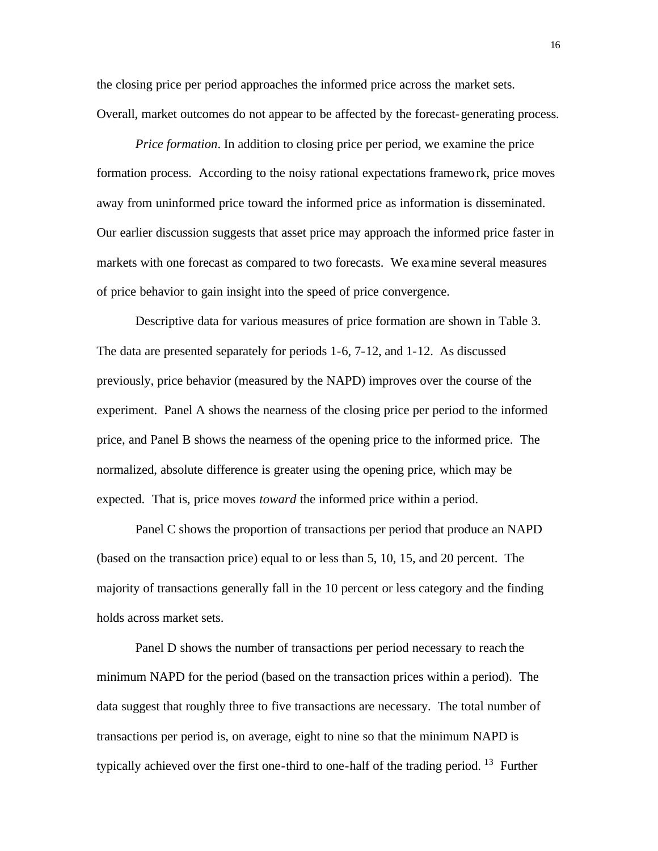the closing price per period approaches the informed price across the market sets. Overall, market outcomes do not appear to be affected by the forecast-generating process.

*Price formation*. In addition to closing price per period, we examine the price formation process. According to the noisy rational expectations framework, price moves away from uninformed price toward the informed price as information is disseminated. Our earlier discussion suggests that asset price may approach the informed price faster in markets with one forecast as compared to two forecasts. We examine several measures of price behavior to gain insight into the speed of price convergence.

Descriptive data for various measures of price formation are shown in Table 3. The data are presented separately for periods 1-6, 7-12, and 1-12. As discussed previously, price behavior (measured by the NAPD) improves over the course of the experiment. Panel A shows the nearness of the closing price per period to the informed price, and Panel B shows the nearness of the opening price to the informed price. The normalized, absolute difference is greater using the opening price, which may be expected. That is, price moves *toward* the informed price within a period.

Panel C shows the proportion of transactions per period that produce an NAPD (based on the transaction price) equal to or less than 5, 10, 15, and 20 percent. The majority of transactions generally fall in the 10 percent or less category and the finding holds across market sets.

Panel D shows the number of transactions per period necessary to reach the minimum NAPD for the period (based on the transaction prices within a period). The data suggest that roughly three to five transactions are necessary. The total number of transactions per period is, on average, eight to nine so that the minimum NAPD is typically achieved over the first one-third to one-half of the trading period.  $13$  Further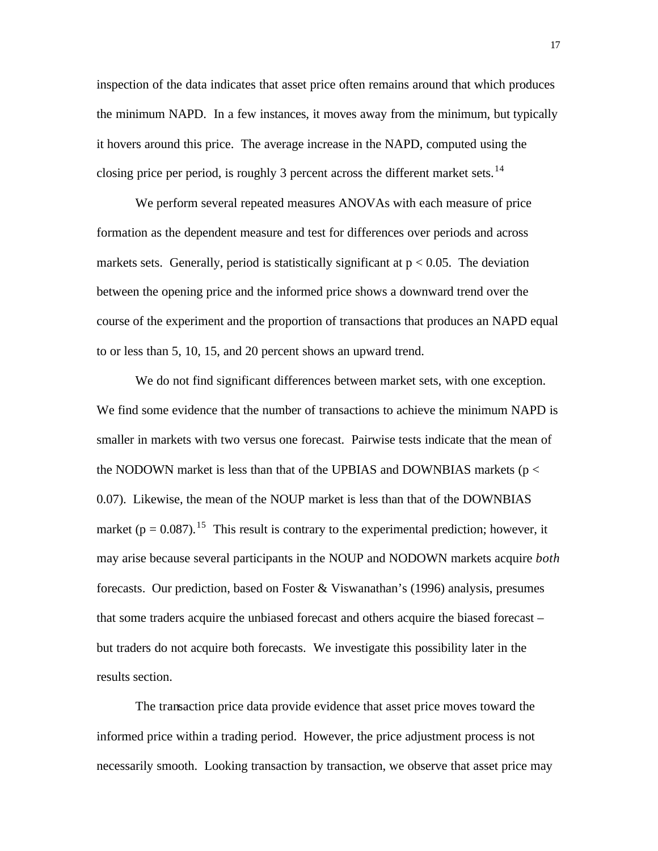inspection of the data indicates that asset price often remains around that which produces the minimum NAPD. In a few instances, it moves away from the minimum, but typically it hovers around this price. The average increase in the NAPD, computed using the closing price per period, is roughly 3 percent across the different market sets.<sup>14</sup>

We perform several repeated measures ANOVAs with each measure of price formation as the dependent measure and test for differences over periods and across markets sets. Generally, period is statistically significant at  $p < 0.05$ . The deviation between the opening price and the informed price shows a downward trend over the course of the experiment and the proportion of transactions that produces an NAPD equal to or less than 5, 10, 15, and 20 percent shows an upward trend.

We do not find significant differences between market sets, with one exception. We find some evidence that the number of transactions to achieve the minimum NAPD is smaller in markets with two versus one forecast. Pairwise tests indicate that the mean of the NODOWN market is less than that of the UPBIAS and DOWNBIAS markets ( $p <$ 0.07). Likewise, the mean of the NOUP market is less than that of the DOWNBIAS market ( $p = 0.087$ ).<sup>15</sup> This result is contrary to the experimental prediction; however, it may arise because several participants in the NOUP and NODOWN markets acquire *both* forecasts. Our prediction, based on Foster & Viswanathan's (1996) analysis, presumes that some traders acquire the unbiased forecast and others acquire the biased forecast – but traders do not acquire both forecasts. We investigate this possibility later in the results section.

The transaction price data provide evidence that asset price moves toward the informed price within a trading period. However, the price adjustment process is not necessarily smooth. Looking transaction by transaction, we observe that asset price may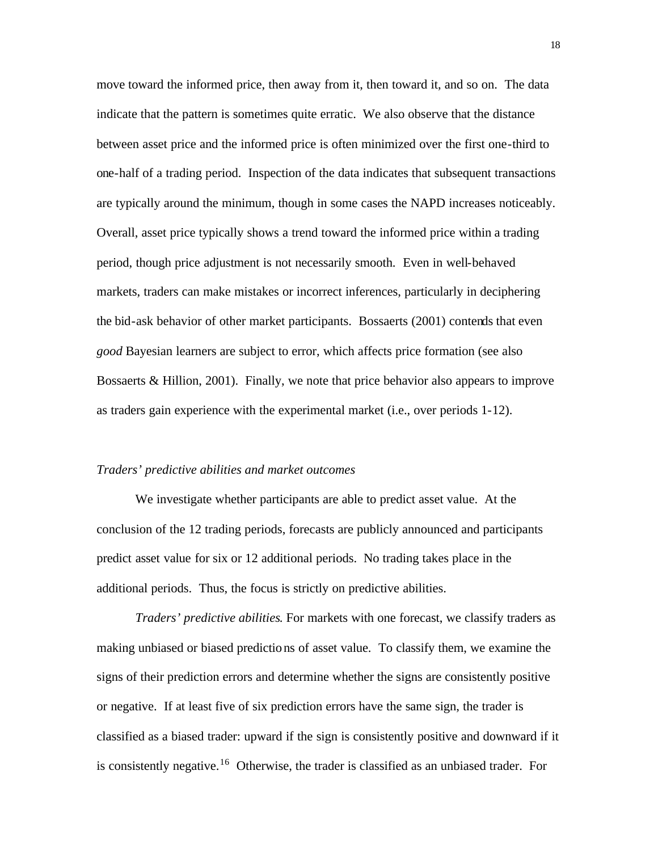move toward the informed price, then away from it, then toward it, and so on. The data indicate that the pattern is sometimes quite erratic. We also observe that the distance between asset price and the informed price is often minimized over the first one-third to one-half of a trading period. Inspection of the data indicates that subsequent transactions are typically around the minimum, though in some cases the NAPD increases noticeably. Overall, asset price typically shows a trend toward the informed price within a trading period, though price adjustment is not necessarily smooth. Even in well-behaved markets, traders can make mistakes or incorrect inferences, particularly in deciphering the bid-ask behavior of other market participants. Bossaerts (2001) contends that even *good* Bayesian learners are subject to error, which affects price formation (see also Bossaerts & Hillion, 2001). Finally, we note that price behavior also appears to improve as traders gain experience with the experimental market (i.e., over periods 1-12).

#### *Traders' predictive abilities and market outcomes*

We investigate whether participants are able to predict asset value. At the conclusion of the 12 trading periods, forecasts are publicly announced and participants predict asset value for six or 12 additional periods. No trading takes place in the additional periods. Thus, the focus is strictly on predictive abilities.

*Traders' predictive abilities*. For markets with one forecast, we classify traders as making unbiased or biased predictions of asset value. To classify them, we examine the signs of their prediction errors and determine whether the signs are consistently positive or negative. If at least five of six prediction errors have the same sign, the trader is classified as a biased trader: upward if the sign is consistently positive and downward if it is consistently negative.<sup>16</sup> Otherwise, the trader is classified as an unbiased trader. For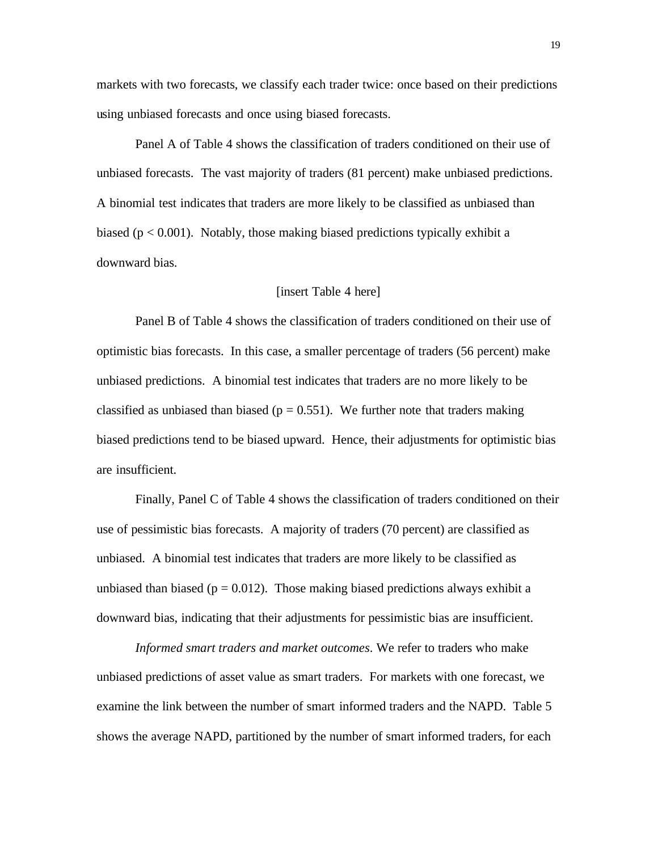markets with two forecasts, we classify each trader twice: once based on their predictions using unbiased forecasts and once using biased forecasts.

Panel A of Table 4 shows the classification of traders conditioned on their use of unbiased forecasts. The vast majority of traders (81 percent) make unbiased predictions. A binomial test indicates that traders are more likely to be classified as unbiased than biased ( $p < 0.001$ ). Notably, those making biased predictions typically exhibit a downward bias.

#### [insert Table 4 here]

Panel B of Table 4 shows the classification of traders conditioned on their use of optimistic bias forecasts. In this case, a smaller percentage of traders (56 percent) make unbiased predictions. A binomial test indicates that traders are no more likely to be classified as unbiased than biased ( $p = 0.551$ ). We further note that traders making biased predictions tend to be biased upward. Hence, their adjustments for optimistic bias are insufficient.

Finally, Panel C of Table 4 shows the classification of traders conditioned on their use of pessimistic bias forecasts. A majority of traders (70 percent) are classified as unbiased. A binomial test indicates that traders are more likely to be classified as unbiased than biased ( $p = 0.012$ ). Those making biased predictions always exhibit a downward bias, indicating that their adjustments for pessimistic bias are insufficient.

*Informed smart traders and market outcomes*. We refer to traders who make unbiased predictions of asset value as smart traders. For markets with one forecast, we examine the link between the number of smart informed traders and the NAPD. Table 5 shows the average NAPD, partitioned by the number of smart informed traders, for each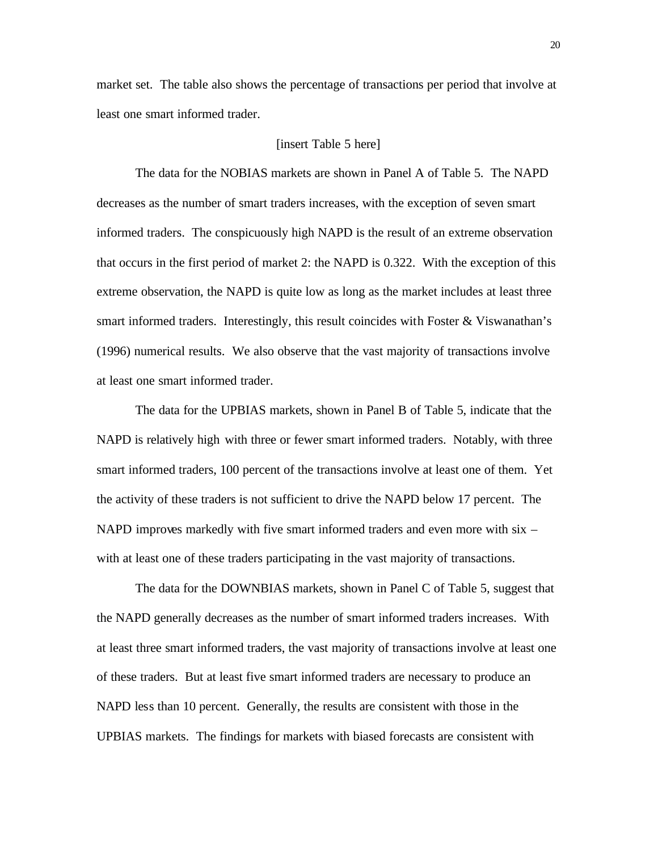market set. The table also shows the percentage of transactions per period that involve at least one smart informed trader.

#### [insert Table 5 here]

The data for the NOBIAS markets are shown in Panel A of Table 5. The NAPD decreases as the number of smart traders increases, with the exception of seven smart informed traders. The conspicuously high NAPD is the result of an extreme observation that occurs in the first period of market 2: the NAPD is 0.322. With the exception of this extreme observation, the NAPD is quite low as long as the market includes at least three smart informed traders. Interestingly, this result coincides with Foster & Viswanathan's (1996) numerical results. We also observe that the vast majority of transactions involve at least one smart informed trader.

The data for the UPBIAS markets, shown in Panel B of Table 5, indicate that the NAPD is relatively high with three or fewer smart informed traders. Notably, with three smart informed traders, 100 percent of the transactions involve at least one of them. Yet the activity of these traders is not sufficient to drive the NAPD below 17 percent. The NAPD improves markedly with five smart informed traders and even more with six – with at least one of these traders participating in the vast majority of transactions.

The data for the DOWNBIAS markets, shown in Panel C of Table 5, suggest that the NAPD generally decreases as the number of smart informed traders increases. With at least three smart informed traders, the vast majority of transactions involve at least one of these traders. But at least five smart informed traders are necessary to produce an NAPD less than 10 percent. Generally, the results are consistent with those in the UPBIAS markets. The findings for markets with biased forecasts are consistent with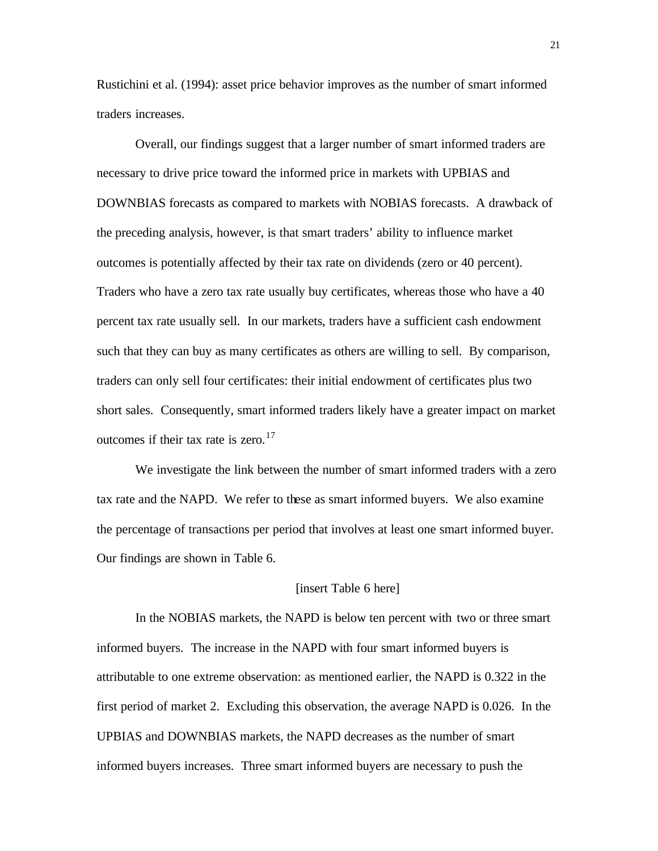Rustichini et al. (1994): asset price behavior improves as the number of smart informed traders increases.

Overall, our findings suggest that a larger number of smart informed traders are necessary to drive price toward the informed price in markets with UPBIAS and DOWNBIAS forecasts as compared to markets with NOBIAS forecasts. A drawback of the preceding analysis, however, is that smart traders' ability to influence market outcomes is potentially affected by their tax rate on dividends (zero or 40 percent). Traders who have a zero tax rate usually buy certificates, whereas those who have a 40 percent tax rate usually sell. In our markets, traders have a sufficient cash endowment such that they can buy as many certificates as others are willing to sell. By comparison, traders can only sell four certificates: their initial endowment of certificates plus two short sales. Consequently, smart informed traders likely have a greater impact on market outcomes if their tax rate is zero.<sup>17</sup>

We investigate the link between the number of smart informed traders with a zero tax rate and the NAPD. We refer to these as smart informed buyers. We also examine the percentage of transactions per period that involves at least one smart informed buyer. Our findings are shown in Table 6.

#### [insert Table 6 here]

In the NOBIAS markets, the NAPD is below ten percent with two or three smart informed buyers. The increase in the NAPD with four smart informed buyers is attributable to one extreme observation: as mentioned earlier, the NAPD is 0.322 in the first period of market 2. Excluding this observation, the average NAPD is 0.026. In the UPBIAS and DOWNBIAS markets, the NAPD decreases as the number of smart informed buyers increases. Three smart informed buyers are necessary to push the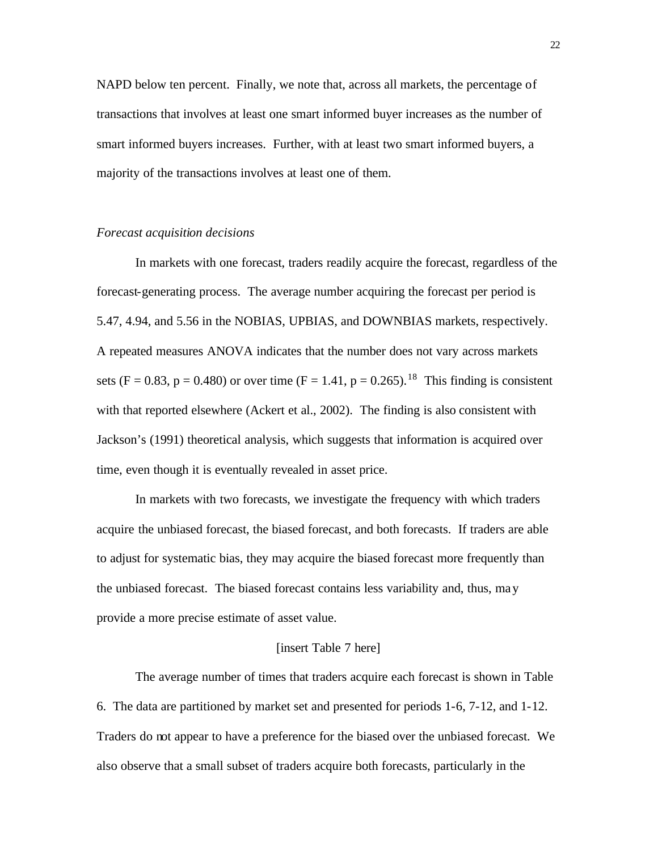NAPD below ten percent. Finally, we note that, across all markets, the percentage of transactions that involves at least one smart informed buyer increases as the number of smart informed buyers increases. Further, with at least two smart informed buyers, a majority of the transactions involves at least one of them.

#### *Forecast acquisition decisions*

In markets with one forecast, traders readily acquire the forecast, regardless of the forecast-generating process. The average number acquiring the forecast per period is 5.47, 4.94, and 5.56 in the NOBIAS, UPBIAS, and DOWNBIAS markets, respectively. A repeated measures ANOVA indicates that the number does not vary across markets sets (F = 0.83, p = 0.480) or over time (F = 1.41, p = 0.265).<sup>18</sup> This finding is consistent with that reported elsewhere (Ackert et al., 2002). The finding is also consistent with Jackson's (1991) theoretical analysis, which suggests that information is acquired over time, even though it is eventually revealed in asset price.

In markets with two forecasts, we investigate the frequency with which traders acquire the unbiased forecast, the biased forecast, and both forecasts. If traders are able to adjust for systematic bias, they may acquire the biased forecast more frequently than the unbiased forecast. The biased forecast contains less variability and, thus, may provide a more precise estimate of asset value.

#### [insert Table 7 here]

The average number of times that traders acquire each forecast is shown in Table 6. The data are partitioned by market set and presented for periods 1-6, 7-12, and 1-12. Traders do not appear to have a preference for the biased over the unbiased forecast. We also observe that a small subset of traders acquire both forecasts, particularly in the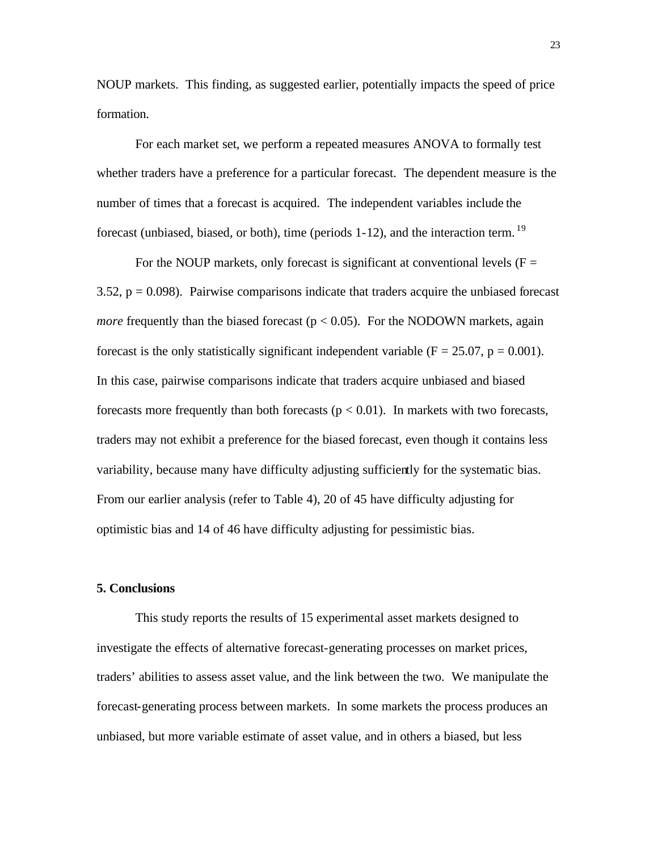NOUP markets. This finding, as suggested earlier, potentially impacts the speed of price formation.

For each market set, we perform a repeated measures ANOVA to formally test whether traders have a preference for a particular forecast. The dependent measure is the number of times that a forecast is acquired. The independent variables include the forecast (unbiased, biased, or both), time (periods  $1-12$ ), and the interaction term. <sup>19</sup>

For the NOUP markets, only forecast is significant at conventional levels ( $F =$ 3.52,  $p = 0.098$ ). Pairwise comparisons indicate that traders acquire the unbiased forecast *more* frequently than the biased forecast ( $p < 0.05$ ). For the NODOWN markets, again forecast is the only statistically significant independent variable ( $F = 25.07$ ,  $p = 0.001$ ). In this case, pairwise comparisons indicate that traders acquire unbiased and biased forecasts more frequently than both forecasts ( $p < 0.01$ ). In markets with two forecasts, traders may not exhibit a preference for the biased forecast, even though it contains less variability, because many have difficulty adjusting sufficiently for the systematic bias. From our earlier analysis (refer to Table 4), 20 of 45 have difficulty adjusting for optimistic bias and 14 of 46 have difficulty adjusting for pessimistic bias.

#### **5. Conclusions**

This study reports the results of 15 experimental asset markets designed to investigate the effects of alternative forecast-generating processes on market prices, traders' abilities to assess asset value, and the link between the two. We manipulate the forecast-generating process between markets. In some markets the process produces an unbiased, but more variable estimate of asset value, and in others a biased, but less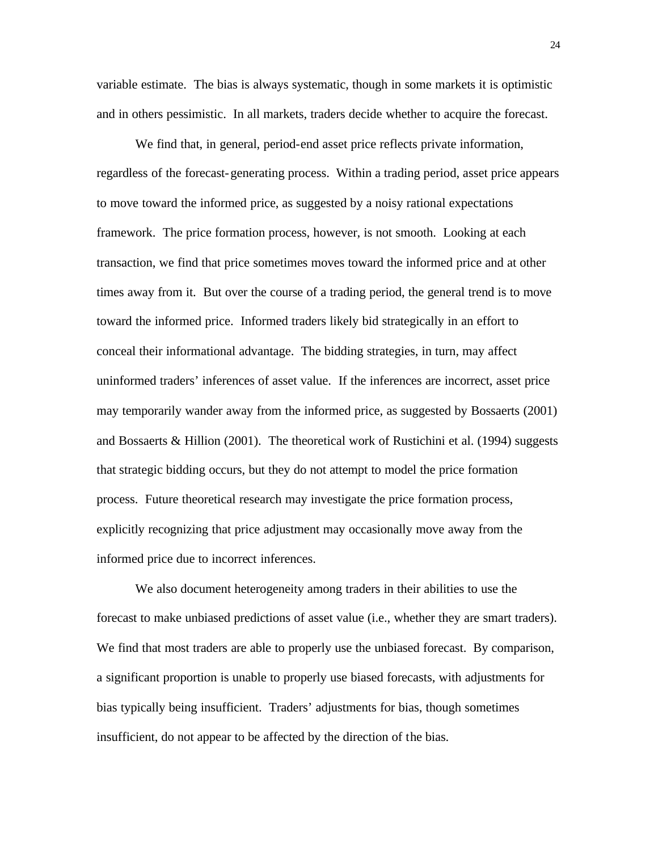variable estimate. The bias is always systematic, though in some markets it is optimistic and in others pessimistic. In all markets, traders decide whether to acquire the forecast.

We find that, in general, period-end asset price reflects private information, regardless of the forecast-generating process. Within a trading period, asset price appears to move toward the informed price, as suggested by a noisy rational expectations framework. The price formation process, however, is not smooth. Looking at each transaction, we find that price sometimes moves toward the informed price and at other times away from it. But over the course of a trading period, the general trend is to move toward the informed price. Informed traders likely bid strategically in an effort to conceal their informational advantage. The bidding strategies, in turn, may affect uninformed traders' inferences of asset value. If the inferences are incorrect, asset price may temporarily wander away from the informed price, as suggested by Bossaerts (2001) and Bossaerts & Hillion (2001). The theoretical work of Rustichini et al. (1994) suggests that strategic bidding occurs, but they do not attempt to model the price formation process. Future theoretical research may investigate the price formation process, explicitly recognizing that price adjustment may occasionally move away from the informed price due to incorrect inferences.

We also document heterogeneity among traders in their abilities to use the forecast to make unbiased predictions of asset value (i.e., whether they are smart traders). We find that most traders are able to properly use the unbiased forecast. By comparison, a significant proportion is unable to properly use biased forecasts, with adjustments for bias typically being insufficient. Traders' adjustments for bias, though sometimes insufficient, do not appear to be affected by the direction of the bias.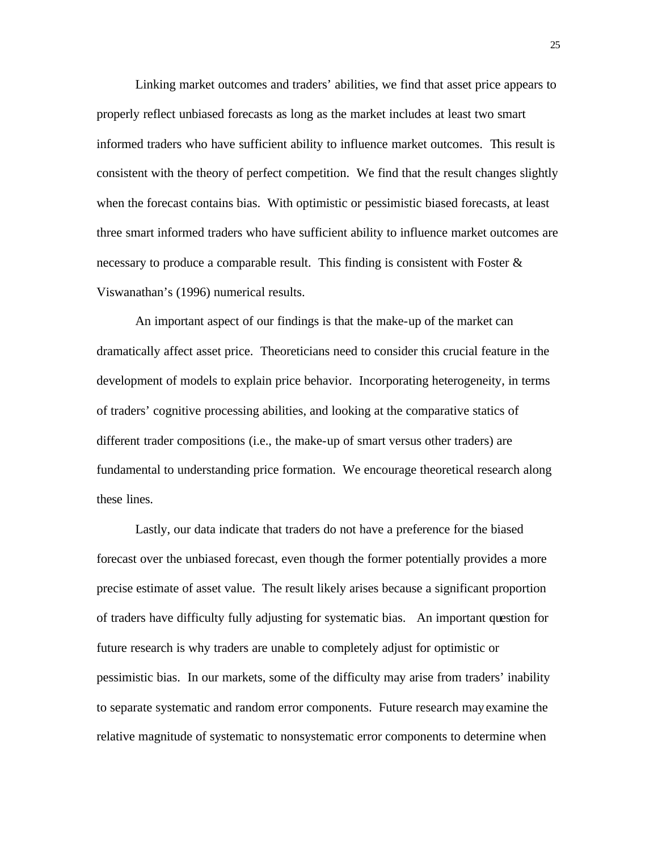Linking market outcomes and traders' abilities, we find that asset price appears to properly reflect unbiased forecasts as long as the market includes at least two smart informed traders who have sufficient ability to influence market outcomes. This result is consistent with the theory of perfect competition. We find that the result changes slightly when the forecast contains bias. With optimistic or pessimistic biased forecasts, at least three smart informed traders who have sufficient ability to influence market outcomes are necessary to produce a comparable result. This finding is consistent with Foster  $\&$ Viswanathan's (1996) numerical results.

An important aspect of our findings is that the make-up of the market can dramatically affect asset price. Theoreticians need to consider this crucial feature in the development of models to explain price behavior. Incorporating heterogeneity, in terms of traders' cognitive processing abilities, and looking at the comparative statics of different trader compositions (i.e., the make-up of smart versus other traders) are fundamental to understanding price formation. We encourage theoretical research along these lines.

Lastly, our data indicate that traders do not have a preference for the biased forecast over the unbiased forecast, even though the former potentially provides a more precise estimate of asset value. The result likely arises because a significant proportion of traders have difficulty fully adjusting for systematic bias. An important question for future research is why traders are unable to completely adjust for optimistic or pessimistic bias. In our markets, some of the difficulty may arise from traders' inability to separate systematic and random error components. Future research may examine the relative magnitude of systematic to nonsystematic error components to determine when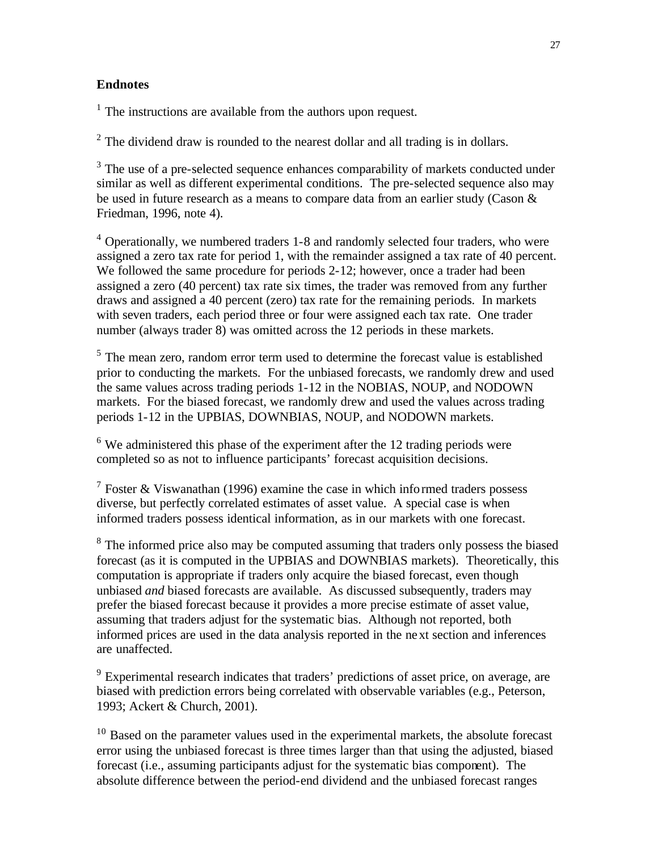#### **Endnotes**

 $<sup>1</sup>$  The instructions are available from the authors upon request.</sup>

 $2^2$  The dividend draw is rounded to the nearest dollar and all trading is in dollars.

 $3$  The use of a pre-selected sequence enhances comparability of markets conducted under similar as well as different experimental conditions. The pre-selected sequence also may be used in future research as a means to compare data from an earlier study (Cason & Friedman, 1996, note 4).

<sup>4</sup> Operationally, we numbered traders 1-8 and randomly selected four traders, who were assigned a zero tax rate for period 1, with the remainder assigned a tax rate of 40 percent. We followed the same procedure for periods 2-12; however, once a trader had been assigned a zero (40 percent) tax rate six times, the trader was removed from any further draws and assigned a 40 percent (zero) tax rate for the remaining periods. In markets with seven traders, each period three or four were assigned each tax rate. One trader number (always trader 8) was omitted across the 12 periods in these markets.

<sup>5</sup> The mean zero, random error term used to determine the forecast value is established prior to conducting the markets. For the unbiased forecasts, we randomly drew and used the same values across trading periods 1-12 in the NOBIAS, NOUP, and NODOWN markets. For the biased forecast, we randomly drew and used the values across trading periods 1-12 in the UPBIAS, DOWNBIAS, NOUP, and NODOWN markets.

 $6$  We administered this phase of the experiment after the 12 trading periods were completed so as not to influence participants' forecast acquisition decisions.

<sup>7</sup> Foster & Viswanathan (1996) examine the case in which informed traders possess diverse, but perfectly correlated estimates of asset value. A special case is when informed traders possess identical information, as in our markets with one forecast.

<sup>8</sup> The informed price also may be computed assuming that traders only possess the biased forecast (as it is computed in the UPBIAS and DOWNBIAS markets). Theoretically, this computation is appropriate if traders only acquire the biased forecast, even though unbiased *and* biased forecasts are available. As discussed subsequently, traders may prefer the biased forecast because it provides a more precise estimate of asset value, assuming that traders adjust for the systematic bias. Although not reported, both informed prices are used in the data analysis reported in the next section and inferences are unaffected.

<sup>9</sup> Experimental research indicates that traders' predictions of asset price, on average, are biased with prediction errors being correlated with observable variables (e.g., Peterson, 1993; Ackert & Church, 2001).

 $10$  Based on the parameter values used in the experimental markets, the absolute forecast error using the unbiased forecast is three times larger than that using the adjusted, biased forecast (i.e., assuming participants adjust for the systematic bias component). The absolute difference between the period-end dividend and the unbiased forecast ranges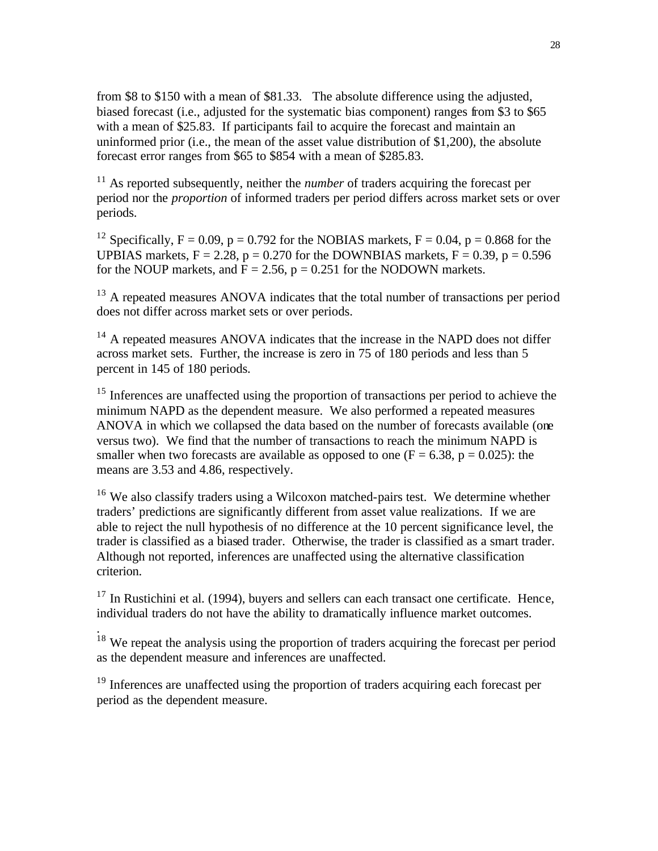from \$8 to \$150 with a mean of \$81.33. The absolute difference using the adjusted, biased forecast (i.e., adjusted for the systematic bias component) ranges from \$3 to \$65 with a mean of \$25.83. If participants fail to acquire the forecast and maintain an uninformed prior (i.e., the mean of the asset value distribution of \$1,200), the absolute forecast error ranges from \$65 to \$854 with a mean of \$285.83.

<sup>11</sup> As reported subsequently, neither the *number* of traders acquiring the forecast per period nor the *proportion* of informed traders per period differs across market sets or over periods.

<sup>12</sup> Specifically, F = 0.09, p = 0.792 for the NOBIAS markets, F = 0.04, p = 0.868 for the UPBIAS markets,  $F = 2.28$ ,  $p = 0.270$  for the DOWNBIAS markets,  $F = 0.39$ ,  $p = 0.596$ for the NOUP markets, and  $F = 2.56$ ,  $p = 0.251$  for the NODOWN markets.

<sup>13</sup> A repeated measures ANOVA indicates that the total number of transactions per period does not differ across market sets or over periods.

<sup>14</sup> A repeated measures ANOVA indicates that the increase in the NAPD does not differ across market sets. Further, the increase is zero in 75 of 180 periods and less than 5 percent in 145 of 180 periods.

<sup>15</sup> Inferences are unaffected using the proportion of transactions per period to achieve the minimum NAPD as the dependent measure. We also performed a repeated measures ANOVA in which we collapsed the data based on the number of forecasts available (one versus two). We find that the number of transactions to reach the minimum NAPD is smaller when two forecasts are available as opposed to one  $(F = 6.38, p = 0.025)$ : the means are 3.53 and 4.86, respectively.

<sup>16</sup> We also classify traders using a Wilcoxon matched-pairs test. We determine whether traders' predictions are significantly different from asset value realizations. If we are able to reject the null hypothesis of no difference at the 10 percent significance level, the trader is classified as a biased trader. Otherwise, the trader is classified as a smart trader. Although not reported, inferences are unaffected using the alternative classification criterion.

 $17$  In Rustichini et al. (1994), buyers and sellers can each transact one certificate. Hence, individual traders do not have the ability to dramatically influence market outcomes.

.

 $18$  We repeat the analysis using the proportion of traders acquiring the forecast per period as the dependent measure and inferences are unaffected.

<sup>19</sup> Inferences are unaffected using the proportion of traders acquiring each forecast per period as the dependent measure.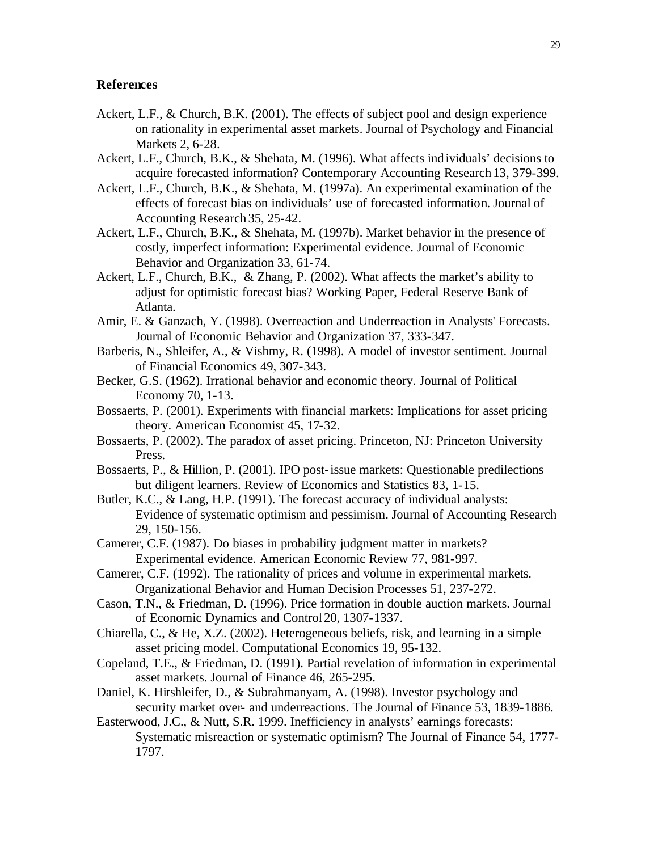#### **References**

- Ackert, L.F., & Church, B.K. (2001). The effects of subject pool and design experience on rationality in experimental asset markets. Journal of Psychology and Financial Markets 2, 6-28.
- Ackert, L.F., Church, B.K., & Shehata, M. (1996). What affects individuals' decisions to acquire forecasted information? Contemporary Accounting Research 13, 379-399.
- Ackert, L.F., Church, B.K., & Shehata, M. (1997a). An experimental examination of the effects of forecast bias on individuals' use of forecasted information. Journal of Accounting Research 35, 25-42.
- Ackert, L.F., Church, B.K., & Shehata, M. (1997b). Market behavior in the presence of costly, imperfect information: Experimental evidence. Journal of Economic Behavior and Organization 33, 61-74.
- Ackert, L.F., Church, B.K., & Zhang, P. (2002). What affects the market's ability to adjust for optimistic forecast bias? Working Paper, Federal Reserve Bank of Atlanta.
- Amir, E. & Ganzach, Y. (1998). Overreaction and Underreaction in Analysts' Forecasts. Journal of Economic Behavior and Organization 37, 333-347.
- Barberis, N., Shleifer, A., & Vishmy, R. (1998). A model of investor sentiment. Journal of Financial Economics 49, 307-343.
- Becker, G.S. (1962). Irrational behavior and economic theory. Journal of Political Economy 70, 1-13.
- Bossaerts, P. (2001). Experiments with financial markets: Implications for asset pricing theory. American Economist 45, 17-32.
- Bossaerts, P. (2002). The paradox of asset pricing. Princeton, NJ: Princeton University Press.
- Bossaerts, P., & Hillion, P. (2001). IPO post-issue markets: Questionable predilections but diligent learners. Review of Economics and Statistics 83, 1-15.
- Butler, K.C., & Lang, H.P. (1991). The forecast accuracy of individual analysts: Evidence of systematic optimism and pessimism. Journal of Accounting Research 29, 150-156.
- Camerer, C.F. (1987). Do biases in probability judgment matter in markets? Experimental evidence. American Economic Review 77, 981-997.
- Camerer, C.F. (1992). The rationality of prices and volume in experimental markets. Organizational Behavior and Human Decision Processes 51, 237-272.
- Cason, T.N., & Friedman, D. (1996). Price formation in double auction markets. Journal of Economic Dynamics and Control20, 1307-1337.
- Chiarella, C., & He, X.Z. (2002). Heterogeneous beliefs, risk, and learning in a simple asset pricing model. Computational Economics 19, 95-132.
- Copeland, T.E., & Friedman, D. (1991). Partial revelation of information in experimental asset markets. Journal of Finance 46, 265-295.
- Daniel, K. Hirshleifer, D., & Subrahmanyam, A. (1998). Investor psychology and security market over- and underreactions. The Journal of Finance 53, 1839-1886.
- Easterwood, J.C., & Nutt, S.R. 1999. Inefficiency in analysts' earnings forecasts: Systematic misreaction or systematic optimism? The Journal of Finance 54, 1777- 1797.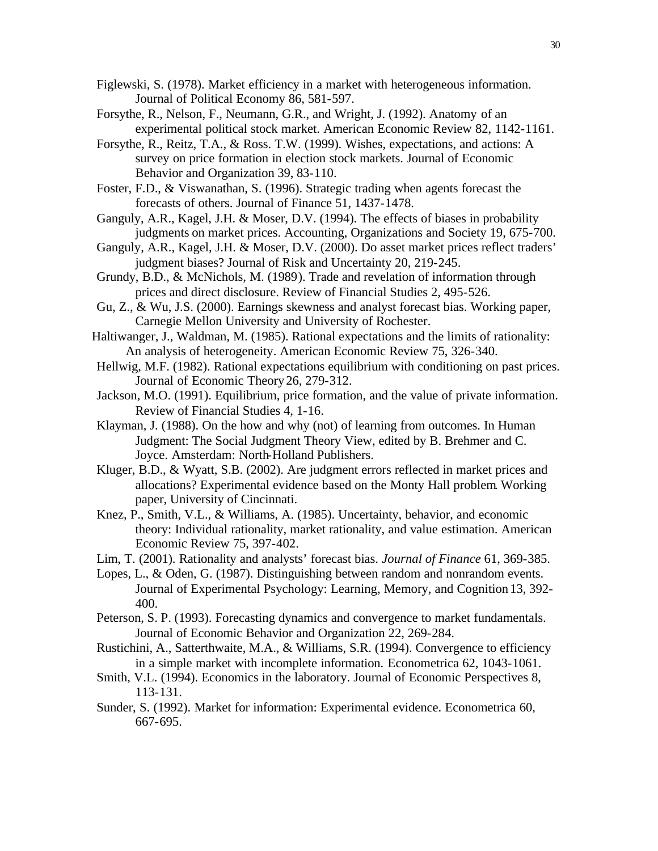- Figlewski, S. (1978). Market efficiency in a market with heterogeneous information. Journal of Political Economy 86, 581-597.
- Forsythe, R., Nelson, F., Neumann, G.R., and Wright, J. (1992). Anatomy of an experimental political stock market. American Economic Review 82, 1142-1161.
- Forsythe, R., Reitz, T.A., & Ross. T.W. (1999). Wishes, expectations, and actions: A survey on price formation in election stock markets. Journal of Economic Behavior and Organization 39, 83-110.
- Foster, F.D., & Viswanathan, S. (1996). Strategic trading when agents forecast the forecasts of others. Journal of Finance 51, 1437-1478.
- Ganguly, A.R., Kagel, J.H. & Moser, D.V. (1994). The effects of biases in probability judgments on market prices. Accounting, Organizations and Society 19, 675-700.
- Ganguly, A.R., Kagel, J.H. & Moser, D.V. (2000). Do asset market prices reflect traders' judgment biases? Journal of Risk and Uncertainty 20, 219-245.
- Grundy, B.D., & McNichols, M. (1989). Trade and revelation of information through prices and direct disclosure. Review of Financial Studies 2, 495-526.
- Gu, Z., & Wu, J.S. (2000). Earnings skewness and analyst forecast bias. Working paper, Carnegie Mellon University and University of Rochester.
- Haltiwanger, J., Waldman, M. (1985). Rational expectations and the limits of rationality: An analysis of heterogeneity. American Economic Review 75, 326-340.
- Hellwig, M.F. (1982). Rational expectations equilibrium with conditioning on past prices. Journal of Economic Theory26, 279-312.
- Jackson, M.O. (1991). Equilibrium, price formation, and the value of private information. Review of Financial Studies 4, 1-16.
- Klayman, J. (1988). On the how and why (not) of learning from outcomes. In Human Judgment: The Social Judgment Theory View, edited by B. Brehmer and C. Joyce. Amsterdam: North-Holland Publishers.
- Kluger, B.D., & Wyatt, S.B. (2002). Are judgment errors reflected in market prices and allocations? Experimental evidence based on the Monty Hall problem. Working paper, University of Cincinnati.
- Knez, P., Smith, V.L., & Williams, A. (1985). Uncertainty, behavior, and economic theory: Individual rationality, market rationality, and value estimation. American Economic Review 75, 397-402.
- Lim, T. (2001). Rationality and analysts' forecast bias. *Journal of Finance* 61, 369-385.
- Lopes, L., & Oden, G. (1987). Distinguishing between random and nonrandom events. Journal of Experimental Psychology: Learning, Memory, and Cognition 13, 392- 400.
- Peterson, S. P. (1993). Forecasting dynamics and convergence to market fundamentals. Journal of Economic Behavior and Organization 22, 269-284.
- Rustichini, A., Satterthwaite, M.A., & Williams, S.R. (1994). Convergence to efficiency in a simple market with incomplete information. Econometrica 62, 1043-1061.
- Smith, V.L. (1994). Economics in the laboratory. Journal of Economic Perspectives 8, 113-131.
- Sunder, S. (1992). Market for information: Experimental evidence. Econometrica 60, 667-695.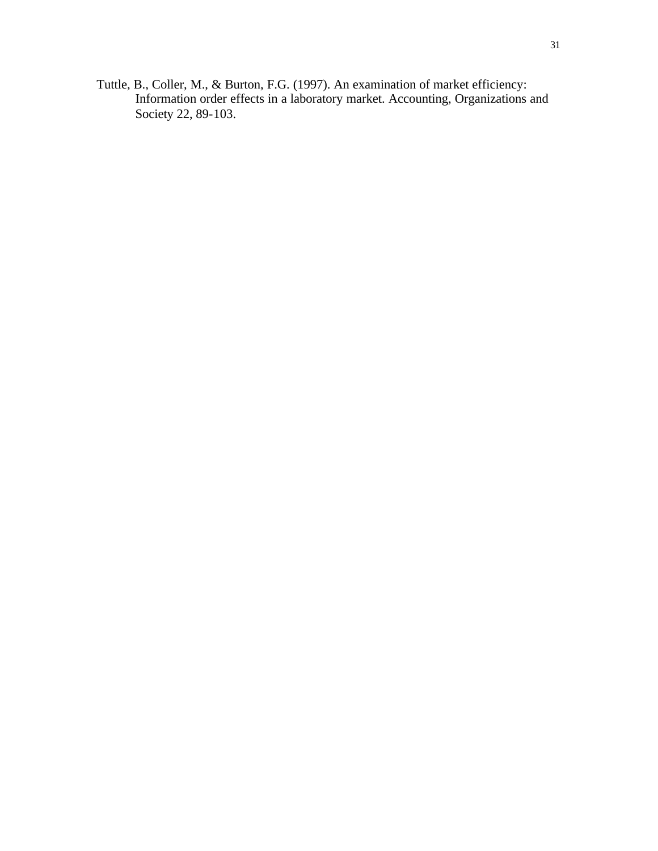Tuttle, B., Coller, M., & Burton, F.G. (1997). An examination of market efficiency: Information order effects in a laboratory market. Accounting, Organizations and Society 22, 89-103.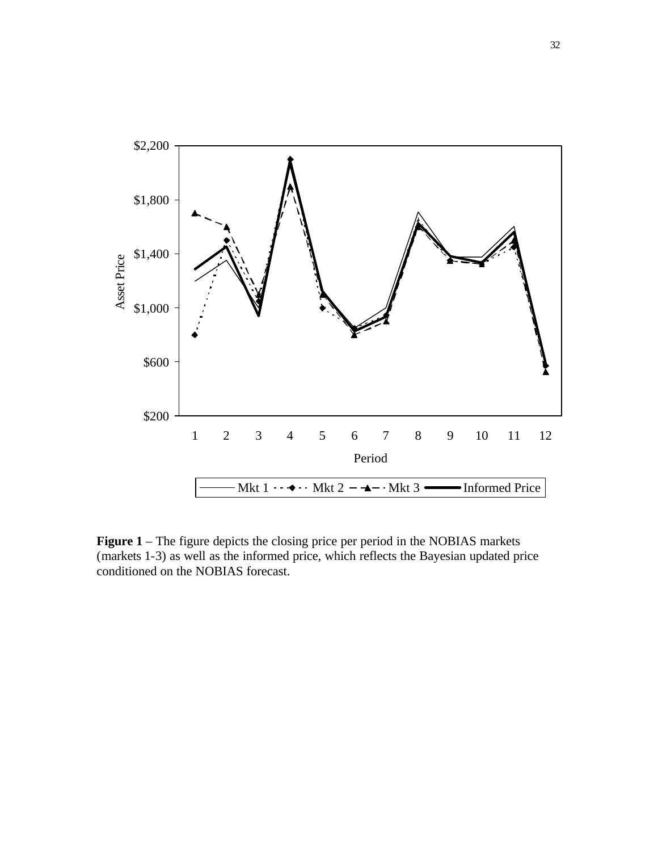

**Figure 1** – The figure depicts the closing price per period in the NOBIAS markets (markets 1-3) as well as the informed price, which reflects the Bayesian updated price conditioned on the NOBIAS forecast.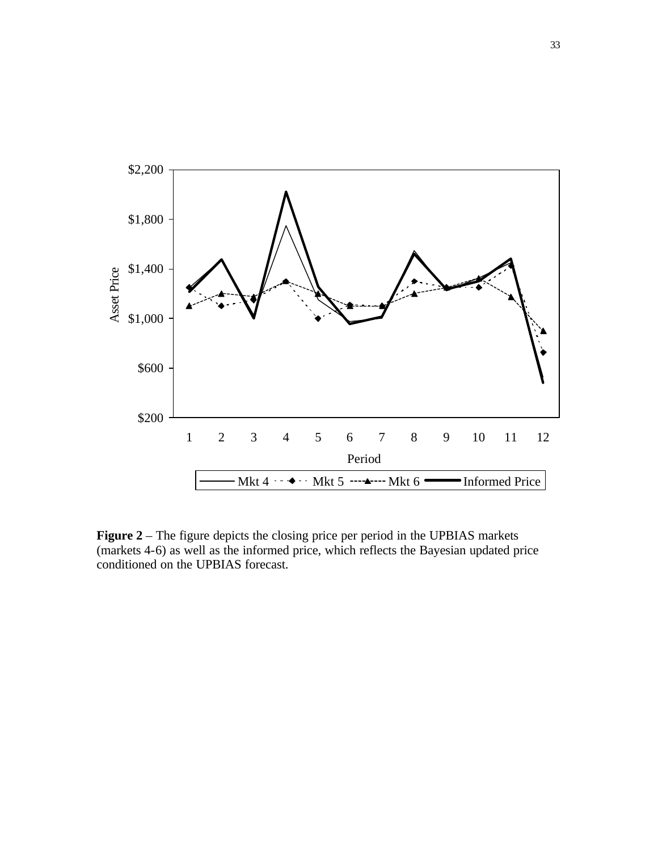

**Figure 2** – The figure depicts the closing price per period in the UPBIAS markets (markets 4-6) as well as the informed price, which reflects the Bayesian updated price conditioned on the UPBIAS forecast.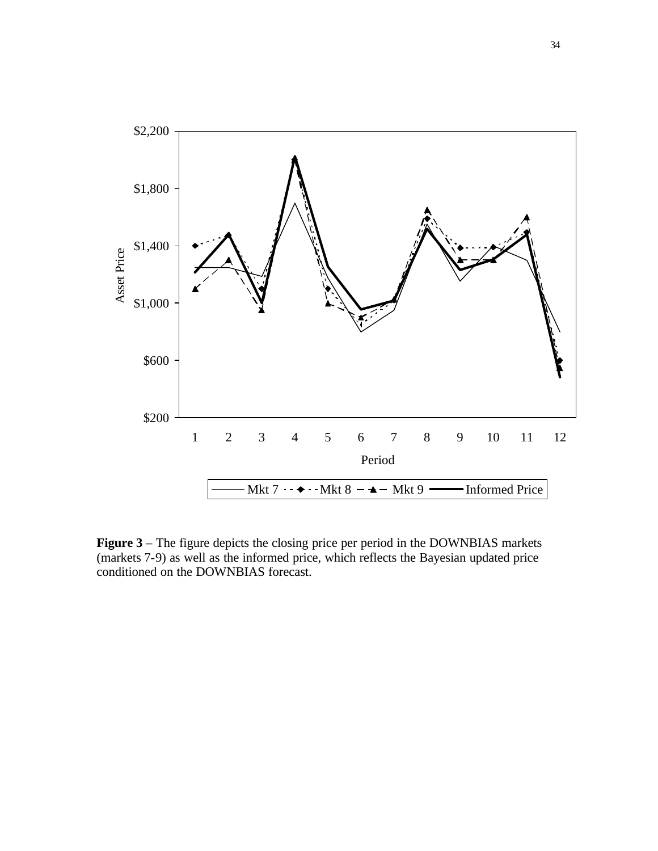

**Figure 3** – The figure depicts the closing price per period in the DOWNBIAS markets (markets 7-9) as well as the informed price, which reflects the Bayesian updated price conditioned on the DOWNBIAS forecast.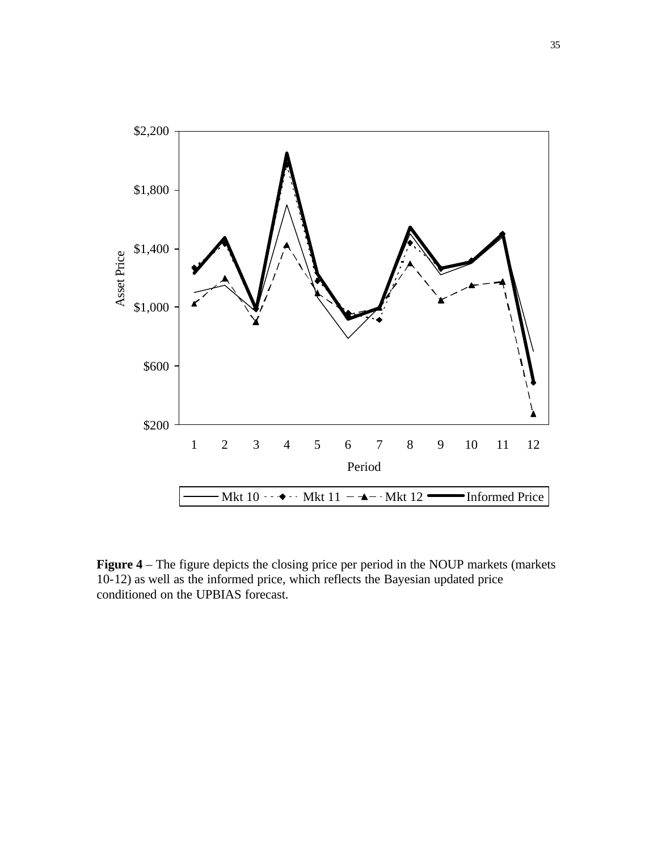

**Figure 4** – The figure depicts the closing price per period in the NOUP markets (markets 10-12) as well as the informed price, which reflects the Bayesian updated price conditioned on the UPBIAS forecast.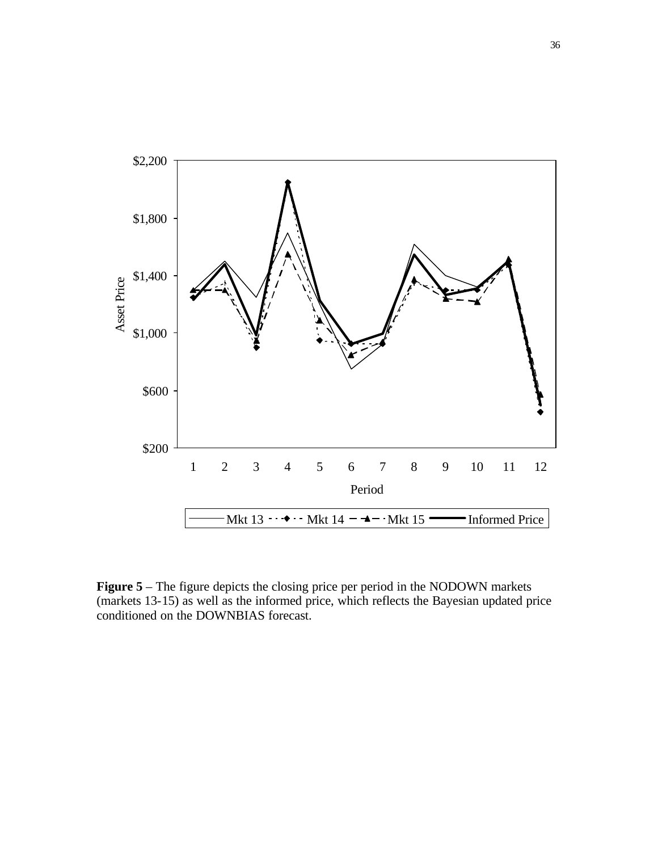

**Figure 5** – The figure depicts the closing price per period in the NODOWN markets (markets 13-15) as well as the informed price, which reflects the Bayesian updated price conditioned on the DOWNBIAS forecast.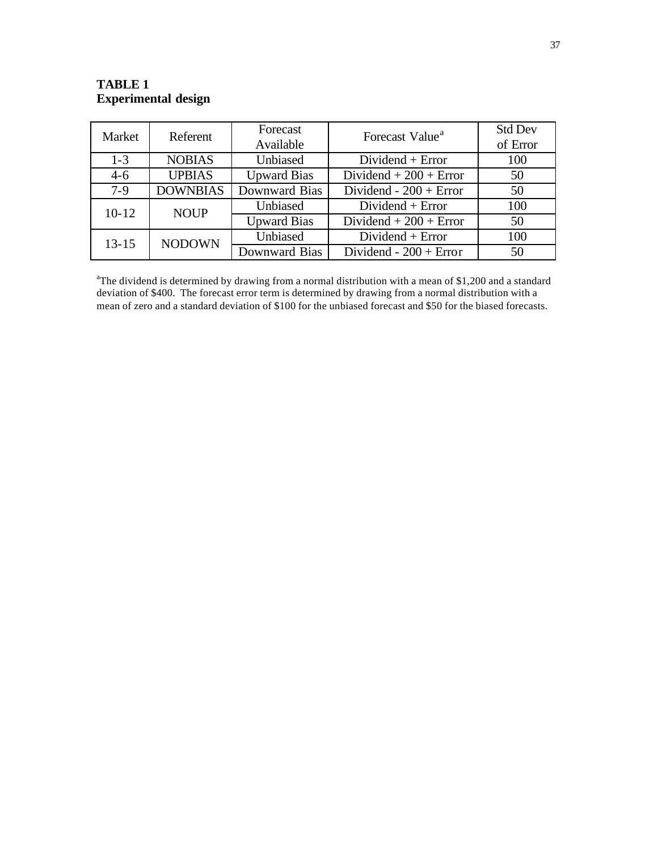#### **TABLE 1 Experimental design**

| Market    | Referent        | Forecast<br>Available | Forecast Value <sup>a</sup> | <b>Std Dev</b><br>of Error |
|-----------|-----------------|-----------------------|-----------------------------|----------------------------|
| $1 - 3$   | <b>NOBIAS</b>   | Unbiased              | $Dividend + Error$          | 100                        |
| $4 - 6$   | <b>UPBIAS</b>   | <b>Upward Bias</b>    | Dividend + $200 +$ Error    | 50                         |
| $7-9$     | <b>DOWNBIAS</b> | Downward Bias         | Dividend - $200 + Error$    | 50                         |
| $10 - 12$ | <b>NOUP</b>     | Unbiased              | $Dividend + Error$          | 100                        |
|           |                 | <b>Upward Bias</b>    | Dividend + $200 +$ Error    | 50                         |
| $13 - 15$ | <b>NODOWN</b>   | Unbiased              | $Dividend + Error$          | 100                        |
|           |                 | Downward Bias         | Dividend - $200 + Error$    | 50                         |

<sup>a</sup>The dividend is determined by drawing from a normal distribution with a mean of \$1,200 and a standard deviation of \$400. The forecast error term is determined by drawing from a normal distribution with a mean of zero and a standard deviation of \$100 for the unbiased forecast and \$50 for the biased forecasts.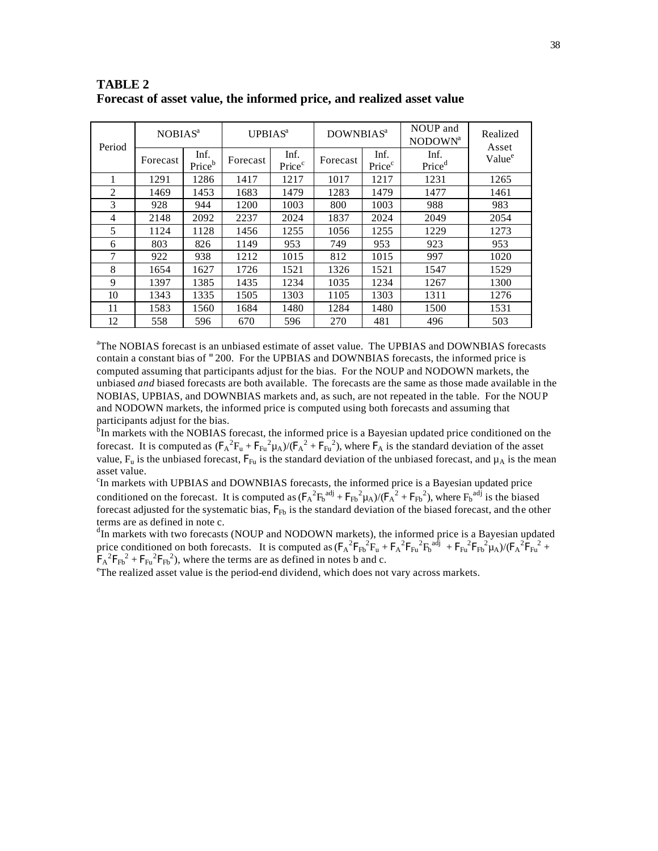| Period         | NOBIAS <sup>a</sup> |                | <b>UPBIAS<sup>a</sup></b> |                            | <b>DOWNBIAS</b> <sup>a</sup> |                            | NOUP and<br>NODOWN <sup>a</sup> | Realized<br>Asset  |
|----------------|---------------------|----------------|---------------------------|----------------------------|------------------------------|----------------------------|---------------------------------|--------------------|
|                | Forecast            | Inf.<br>Priceb | Forecast                  | Inf.<br>Price <sup>c</sup> | Forecast                     | Inf.<br>Price <sup>c</sup> | Inf.<br>Price <sup>d</sup>      | Value <sup>e</sup> |
|                | 1291                | 1286           | 1417                      | 1217                       | 1017                         | 1217                       | 1231                            | 1265               |
| $\overline{c}$ | 1469                | 1453           | 1683                      | 1479                       | 1283                         | 1479                       | 1477                            | 1461               |
| 3              | 928                 | 944            | 1200                      | 1003                       | 800                          | 1003                       | 988                             | 983                |
| 4              | 2148                | 2092           | 2237                      | 2024                       | 1837                         | 2024                       | 2049                            | 2054               |
| 5              | 1124                | 1128           | 1456                      | 1255                       | 1056                         | 1255                       | 1229                            | 1273               |
| 6              | 803                 | 826            | 1149                      | 953                        | 749                          | 953                        | 923                             | 953                |
| 7              | 922                 | 938            | 1212                      | 1015                       | 812                          | 1015                       | 997                             | 1020               |
| 8              | 1654                | 1627           | 1726                      | 1521                       | 1326                         | 1521                       | 1547                            | 1529               |
| 9              | 1397                | 1385           | 1435                      | 1234                       | 1035                         | 1234                       | 1267                            | 1300               |
| 10             | 1343                | 1335           | 1505                      | 1303                       | 1105                         | 1303                       | 1311                            | 1276               |
| 11             | 1583                | 1560           | 1684                      | 1480                       | 1284                         | 1480                       | 1500                            | 1531               |
| 12             | 558                 | 596            | 670                       | 596                        | 270                          | 481                        | 496                             | 503                |

**TABLE 2 Forecast of asset value, the informed price, and realized asset value**

<sup>a</sup>The NOBIAS forecast is an unbiased estimate of asset value. The UPBIAS and DOWNBIAS forecasts contain a constant bias of "200. For the UPBIAS and DOWNBIAS forecasts, the informed price is computed assuming that participants adjust for the bias. For the NOUP and NODOWN markets, the unbiased *and* biased forecasts are both available. The forecasts are the same as those made available in the NOBIAS, UPBIAS, and DOWNBIAS markets and, as such, are not repeated in the table. For the NOUP and NODOWN markets, the informed price is computed using both forecasts and assuming that participants adjust for the bias.

 $\overline{b}$ In markets with the NOBIAS forecast, the informed price is a Bayesian updated price conditioned on the forecast. It is computed as  $(F_A^2 F_u + F_{Fu}^2 \mu_A)/ (F_A^2 + F_{Fu}^2)$ , where  $F_A$  is the standard deviation of the asset value,  $F_u$  is the unbiased forecast,  $F_{Fu}$  is the standard deviation of the unbiased forecast, and  $\mu_A$  is the mean asset value.

c In markets with UPBIAS and DOWNBIAS forecasts, the informed price is a Bayesian updated price conditioned on the forecast. It is computed as  $(F_A^2 F_b^{adj} + F_{Fb}^2 \mu_A)/ (F_A^2 + F_{Fb}^2)$ , where  $F_b^{adj}$  is the biased forecast adjusted for the systematic bias,  $F_{Fb}$  is the standard deviation of the biased forecast, and the other terms are as defined in note c.

<sup>d</sup>In markets with two forecasts (NOUP and NODOWN markets), the informed price is a Bayesian updated price conditioned on both forecasts. It is computed as  $(F_A{}^2F_{Fb}{}^2F_u + F_A{}^2F_{Fu}{}^2F_b{}^{ad\bar{j}} + F_{Fu}{}^2F_{Fb}{}^2\mu_A)/(F_A{}^2F_{Fu}{}^2 +$  $F_A^2 F_{Fb}^2 + F_{Fu}^2 F_{Fb}^2$ , where the terms are as defined in notes b and c.

<sup>e</sup>The realized asset value is the period-end dividend, which does not vary across markets.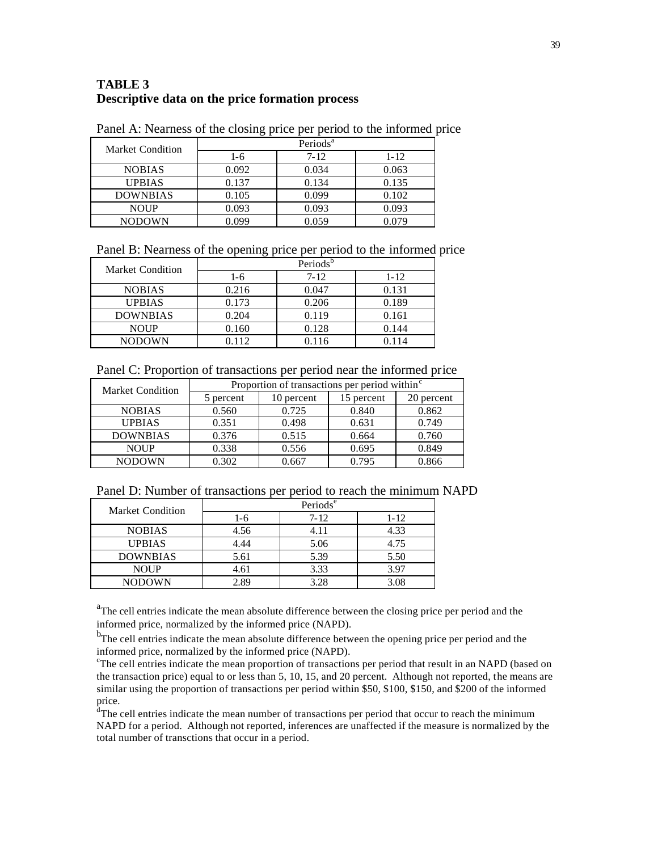#### **TABLE 3 Descriptive data on the price formation process**

| Market Condition | Periods <sup>a</sup> |          |          |  |  |
|------------------|----------------------|----------|----------|--|--|
|                  | 1-6                  | $7 - 12$ | $1 - 12$ |  |  |
| <b>NOBIAS</b>    | 0.092                | 0.034    | 0.063    |  |  |
| <b>UPBIAS</b>    | 0.137                | 0.134    | 0.135    |  |  |
| <b>DOWNBIAS</b>  | 0.105                | 0.099    | 0.102    |  |  |
| <b>NOUP</b>      | 0.093                | 0.093    | 0.093    |  |  |
| NODOWN           | ) በዓዓ                | 0.059    |          |  |  |

Panel A: Nearness of the closing price per period to the informed price

|  | Panel B: Nearness of the opening price per period to the informed price |  |  |  |  |  |
|--|-------------------------------------------------------------------------|--|--|--|--|--|
|  |                                                                         |  |  |  |  |  |

| <b>Market Condition</b> | Periods <sup>b</sup> |          |          |  |  |
|-------------------------|----------------------|----------|----------|--|--|
|                         | 1-6                  | $7 - 12$ | $1 - 12$ |  |  |
| <b>NOBIAS</b>           | 0.216                | 0.047    | 0.131    |  |  |
| <b>UPBIAS</b>           | 0.173                | 0.206    | 0.189    |  |  |
| <b>DOWNBIAS</b>         | 0.204                | 0.119    | 0.161    |  |  |
| <b>NOUP</b>             | 0.160                | 0.128    | 0.144    |  |  |
| <b>NODOWN</b>           | 0.112                | 0.116    | 0.114    |  |  |

|  | Panel C: Proportion of transactions per period near the informed price |  |  |
|--|------------------------------------------------------------------------|--|--|
|  |                                                                        |  |  |

| <b>Market Condition</b> | Proportion of transactions per period within <sup>c</sup> |            |            |            |  |
|-------------------------|-----------------------------------------------------------|------------|------------|------------|--|
|                         | 5 percent                                                 | 10 percent | 15 percent | 20 percent |  |
| <b>NOBIAS</b>           | 0.560                                                     | 0.725      | 0.840      | 0.862      |  |
| <b>UPBIAS</b>           | 0.351                                                     | 0.498      | 0.631      | 0.749      |  |
| <b>DOWNBIAS</b>         | 0.376                                                     | 0.515      | 0.664      | 0.760      |  |
| <b>NOUP</b>             | 0.338                                                     | 0.556      | 0.695      | 0.849      |  |
| <b>NODOWN</b>           | 0.302                                                     | 0.667      | 0.795      | 0.866      |  |

| <b>Market Condition</b> | Periods <sup>e</sup> |          |          |  |  |
|-------------------------|----------------------|----------|----------|--|--|
|                         | 1-6                  | $7 - 12$ | $1 - 12$ |  |  |
| <b>NOBIAS</b>           | 4.56                 | 4.11     | 4.33     |  |  |
| <b>UPBIAS</b>           | 4.44                 | 5.06     | 4.75     |  |  |
| <b>DOWNBIAS</b>         | 5.61                 | 5.39     | 5.50     |  |  |
| <b>NOUP</b>             | 4.61                 | 3.33     | 3.97     |  |  |
| <b>NODOWN</b>           | 2 89                 | 3.28     | 3.08     |  |  |

<sup>a</sup>The cell entries indicate the mean absolute difference between the closing price per period and the informed price, normalized by the informed price (NAPD).

<sup>b</sup>The cell entries indicate the mean absolute difference between the opening price per period and the informed price, normalized by the informed price (NAPD).

<sup>c</sup>The cell entries indicate the mean proportion of transactions per period that result in an NAPD (based on the transaction price) equal to or less than 5, 10, 15, and 20 percent. Although not reported, the means are similar using the proportion of transactions per period within \$50, \$100, \$150, and \$200 of the informed price.

<sup>d</sup> The cell entries indicate the mean number of transactions per period that occur to reach the minimum NAPD for a period. Although not reported, inferences are unaffected if the measure is normalized by the total number of transctions that occur in a period.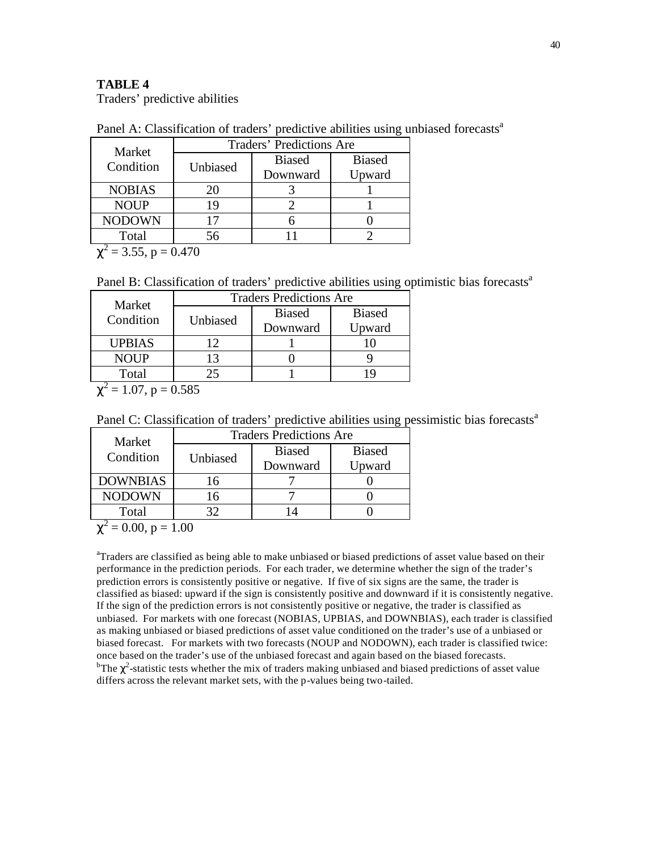#### **TABLE 4**

Traders' predictive abilities

| Market        | Traders' Predictions Are |               |               |  |
|---------------|--------------------------|---------------|---------------|--|
| Condition     | Unbiased                 | <b>Biased</b> | <b>Biased</b> |  |
|               |                          | Downward      | Upward        |  |
| <b>NOBIAS</b> | 20                       |               |               |  |
| <b>NOUP</b>   | 19                       |               |               |  |
| <b>NODOWN</b> |                          |               |               |  |
| Total         |                          |               |               |  |

Panel A: Classification of traders' predictive abilities using unbiased forecasts<sup>a</sup>

 $\chi^2$  = 3.55, p = 0.470

Panel B: Classification of traders' predictive abilities using optimistic bias forecasts<sup>a</sup>

| Market<br>Condition | <b>Traders Predictions Are</b> |               |               |  |  |
|---------------------|--------------------------------|---------------|---------------|--|--|
|                     |                                | <b>Biased</b> | <b>Biased</b> |  |  |
|                     | Unbiased                       | Downward      | Upward        |  |  |
| <b>UPBIAS</b>       |                                |               |               |  |  |
| <b>NOUP</b>         |                                |               |               |  |  |
| Total               |                                |               |               |  |  |

 $\chi^2$  = 1.07, p = 0.585

Panel C: Classification of traders' predictive abilities using pessimistic bias forecasts<sup>a</sup>

| Market<br>Condition | <b>Traders Predictions Are</b> |               |               |  |  |
|---------------------|--------------------------------|---------------|---------------|--|--|
|                     |                                | <b>Biased</b> | <b>Biased</b> |  |  |
|                     | Unbiased                       | Downward      | Upward        |  |  |
| <b>DOWNBIAS</b>     | 16                             |               |               |  |  |
| <b>NODOWN</b>       | 16                             |               |               |  |  |
| Total               |                                | 4             |               |  |  |

 $\chi^2$  = 0.00, p = 1.00

<sup>a</sup>Traders are classified as being able to make unbiased or biased predictions of asset value based on their performance in the prediction periods. For each trader, we determine whether the sign of the trader's prediction errors is consistently positive or negative. If five of six signs are the same, the trader is classified as biased: upward if the sign is consistently positive and downward if it is consistently negative. If the sign of the prediction errors is not consistently positive or negative, the trader is classified as unbiased. For markets with one forecast (NOBIAS, UPBIAS, and DOWNBIAS), each trader is classified as making unbiased or biased predictions of asset value conditioned on the trader's use of a unbiased or biased forecast. For markets with two forecasts (NOUP and NODOWN), each trader is classified twice: once based on the trader's use of the unbiased forecast and again based on the biased forecasts. <sup>b</sup>The  $\chi^2$ -statistic tests whether the mix of traders making unbiased and biased predictions of asset value differs across the relevant market sets, with the p-values being two-tailed.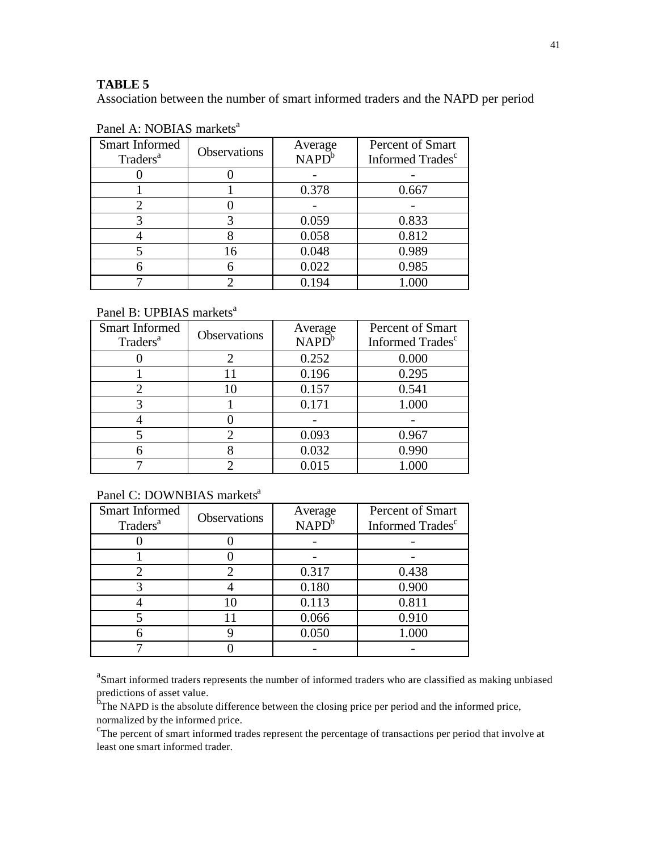#### **TABLE 5**

Association between the number of smart informed traders and the NAPD per period

| <b>Smart Informed</b><br>Traders <sup>a</sup> | Observations | Average<br>NAPD <sup>b</sup> | Percent of Smart<br>Informed Trades <sup>c</sup> |
|-----------------------------------------------|--------------|------------------------------|--------------------------------------------------|
|                                               |              |                              |                                                  |
|                                               |              | 0.378                        | 0.667                                            |
|                                               |              |                              |                                                  |
|                                               |              | 0.059                        | 0.833                                            |
|                                               |              | 0.058                        | 0.812                                            |
|                                               | 16           | 0.048                        | 0.989                                            |
|                                               |              | 0.022                        | 0.985                                            |
|                                               |              | 0.194                        | 1.000                                            |

#### Panel A: NOBIAS markets<sup>a</sup>

#### Panel B: UPBIAS markets<sup>a</sup>

| <b>Smart Informed</b><br>Traders <sup>a</sup> | Observations | Average<br>NAPD <sup>b</sup> | Percent of Smart<br>Informed Trades <sup>c</sup> |
|-----------------------------------------------|--------------|------------------------------|--------------------------------------------------|
|                                               |              | 0.252                        | 0.000                                            |
|                                               |              | 0.196                        | 0.295                                            |
|                                               | 10           | 0.157                        | 0.541                                            |
|                                               |              | 0.171                        | 1.000                                            |
|                                               |              |                              |                                                  |
|                                               |              | 0.093                        | 0.967                                            |
|                                               |              | 0.032                        | 0.990                                            |
|                                               |              | 0.015                        | 1.000                                            |

#### Panel C: DOWNBIAS markets<sup>a</sup>

| <b>Smart Informed</b> | Observations | Average           | Percent of Smart             |
|-----------------------|--------------|-------------------|------------------------------|
| Traders <sup>a</sup>  |              | NAPD <sup>b</sup> | Informed Trades <sup>c</sup> |
|                       |              |                   |                              |
|                       |              |                   |                              |
|                       |              | 0.317             | 0.438                        |
|                       |              | 0.180             | 0.900                        |
|                       |              | 0.113             | 0.811                        |
|                       |              | 0.066             | 0.910                        |
|                       |              | 0.050             | 1.000                        |
|                       |              |                   |                              |

<sup>a</sup>Smart informed traders represents the number of informed traders who are classified as making unbiased

predictions of asset value.<br><sup>b</sup>The NAPD is the absolute difference between the closing price per period and the informed price,

normalized by the informed price.<br><sup>C</sup>The percent of smart informed trades represent the percentage of transactions per period that involve at least one smart informed trader.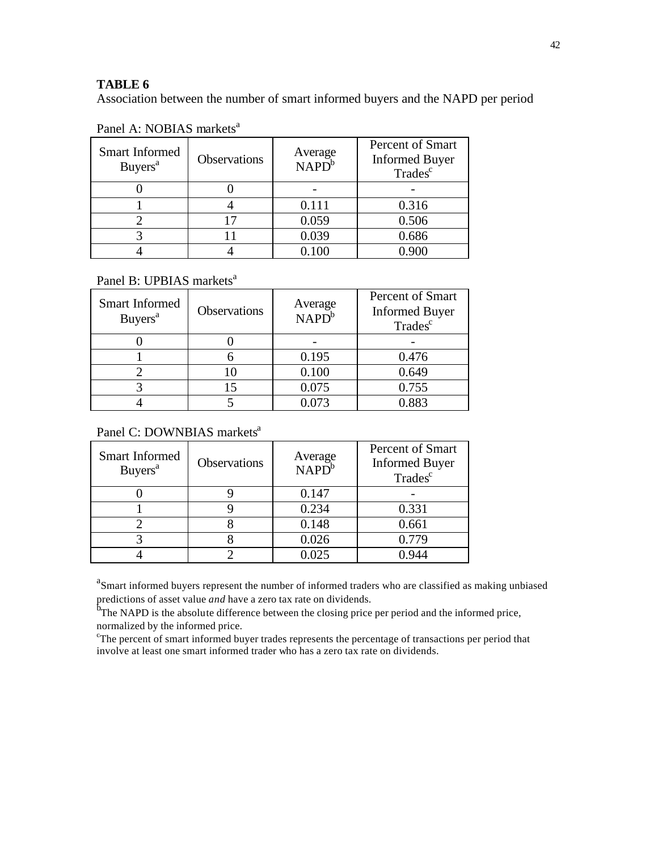#### **TABLE 6**

Association between the number of smart informed buyers and the NAPD per period

| <b>Smart Informed</b><br>Buyers <sup>a</sup> | <b>Observations</b> | Average<br>$NAPD^b$ | Percent of Smart<br><b>Informed Buyer</b><br>Trades <sup>c</sup> |
|----------------------------------------------|---------------------|---------------------|------------------------------------------------------------------|
|                                              |                     |                     |                                                                  |
|                                              |                     | 0.111               | 0.316                                                            |
|                                              | $\sqrt{7}$          | 0.059               | 0.506                                                            |
|                                              |                     | 0.039               | 0.686                                                            |
|                                              |                     |                     | N 900                                                            |

Panel A: NOBIAS markets<sup>a</sup>

### Panel B: UPBIAS markets<sup>a</sup>

| <b>Smart Informed</b><br>Buyers <sup>a</sup> | <b>Observations</b> | Average<br>NAPD <sup>b</sup> | Percent of Smart<br><b>Informed Buyer</b><br>Trades <sup>c</sup> |
|----------------------------------------------|---------------------|------------------------------|------------------------------------------------------------------|
|                                              |                     |                              |                                                                  |
|                                              |                     | 0.195                        | 0.476                                                            |
|                                              | 10                  | 0.100                        | 0.649                                                            |
|                                              | 15                  | 0.075                        | 0.755                                                            |
|                                              |                     | 0.073                        | 0.883                                                            |

#### Panel C: DOWNBIAS markets<sup>a</sup>

| <b>Smart Informed</b><br>Buyers <sup>a</sup> | <b>Observations</b> | Average<br>$NAPD^b$ | Percent of Smart<br><b>Informed Buyer</b><br>Trades <sup>c</sup> |
|----------------------------------------------|---------------------|---------------------|------------------------------------------------------------------|
|                                              |                     | 0.147               |                                                                  |
|                                              |                     | 0.234               | 0.331                                                            |
|                                              |                     | 0.148               | 0.661                                                            |
|                                              |                     | 0.026               | 0.779                                                            |
|                                              |                     | 0.025               | በ 944                                                            |

<sup>a</sup>Smart informed buyers represent the number of informed traders who are classified as making unbiased predictions of asset value *and* have a zero tax rate on dividends.<br><sup>b</sup>The NAPD is the absolute difference between the closing price per period and the informed price,

normalized by the informed price.

<sup>c</sup>The percent of smart informed buyer trades represents the percentage of transactions per period that involve at least one smart informed trader who has a zero tax rate on dividends.